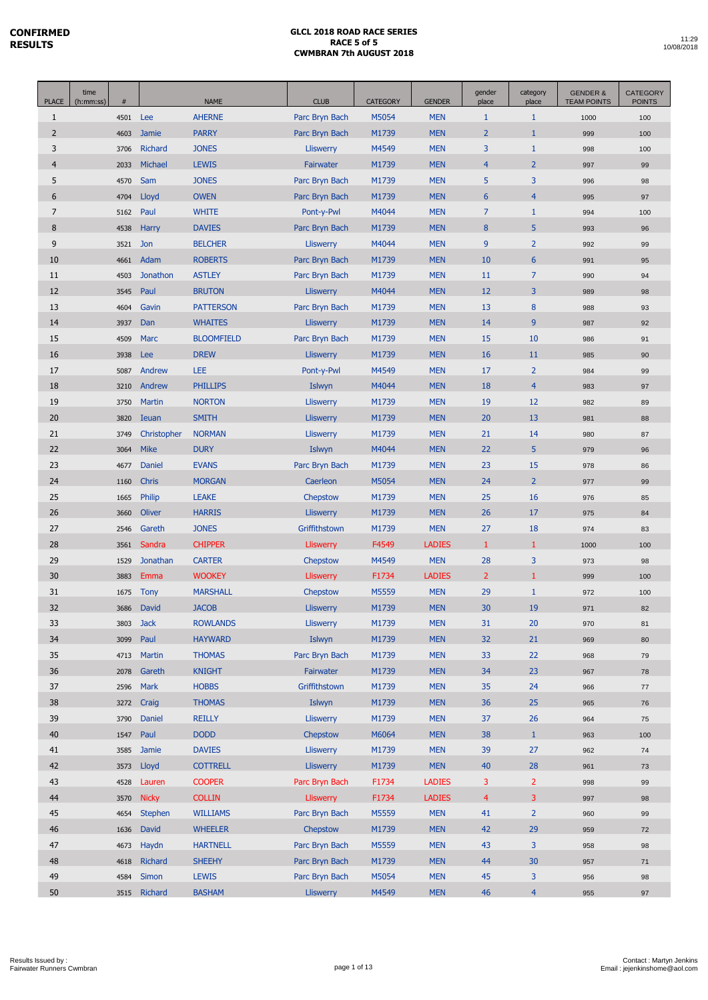| <b>PLACE</b>   | time<br>(h:mm:ss) | $\#$ |                 | <b>NAME</b>       | <b>CLUB</b>      | <b>CATEGORY</b> | <b>GENDER</b> | gender<br>place | category<br>place | <b>GENDER &amp;</b><br><b>TEAM POINTS</b> | <b>CATEGORY</b><br><b>POINTS</b> |
|----------------|-------------------|------|-----------------|-------------------|------------------|-----------------|---------------|-----------------|-------------------|-------------------------------------------|----------------------------------|
| $\mathbf{1}$   |                   | 4501 | Lee             | <b>AHERNE</b>     | Parc Bryn Bach   | M5054           | <b>MEN</b>    | $\mathbf{1}$    | $\mathbf{1}$      | 1000                                      | 100                              |
| $\overline{2}$ |                   | 4603 | <b>Jamie</b>    | <b>PARRY</b>      | Parc Bryn Bach   | M1739           | <b>MEN</b>    | $\overline{2}$  | 1                 | 999                                       | 100                              |
| 3              |                   | 3706 | <b>Richard</b>  | <b>JONES</b>      | <b>Lliswerry</b> | M4549           | <b>MEN</b>    | 3               | $\mathbf{1}$      | 998                                       | 100                              |
| $\overline{4}$ |                   | 2033 | Michael         | <b>LEWIS</b>      | Fairwater        | M1739           | <b>MEN</b>    | $\overline{4}$  | $\overline{2}$    | 997                                       | 99                               |
| 5              |                   | 4570 | Sam             | <b>JONES</b>      | Parc Bryn Bach   | M1739           | <b>MEN</b>    | 5               | 3                 | 996                                       | 98                               |
| 6              |                   | 4704 | Lloyd           | <b>OWEN</b>       | Parc Bryn Bach   | M1739           | <b>MEN</b>    | $6\phantom{1}6$ | $\overline{4}$    | 995                                       | 97                               |
| $\overline{7}$ |                   | 5162 | Paul            | <b>WHITE</b>      | Pont-y-Pwl       | M4044           | <b>MEN</b>    | $\overline{7}$  | $\mathbf{1}$      | 994                                       | 100                              |
| 8              |                   | 4538 | <b>Harry</b>    | <b>DAVIES</b>     | Parc Bryn Bach   | M1739           | <b>MEN</b>    | 8               | 5                 | 993                                       | 96                               |
| 9              |                   | 3521 | Jon             | <b>BELCHER</b>    | <b>Lliswerry</b> | M4044           | <b>MEN</b>    | 9               | $\overline{2}$    | 992                                       | 99                               |
| 10             |                   | 4661 | Adam            | <b>ROBERTS</b>    | Parc Bryn Bach   | M1739           | <b>MEN</b>    | 10              | 6                 | 991                                       | 95                               |
| 11             |                   | 4503 | <b>Jonathon</b> | <b>ASTLEY</b>     | Parc Bryn Bach   | M1739           | <b>MEN</b>    | 11              | $\overline{7}$    | 990                                       | 94                               |
| 12             |                   | 3545 | Paul            | <b>BRUTON</b>     | <b>Lliswerry</b> | M4044           | <b>MEN</b>    | 12              | 3                 | 989                                       | 98                               |
| 13             |                   | 4604 | Gavin           | <b>PATTERSON</b>  | Parc Bryn Bach   | M1739           | <b>MEN</b>    | 13              | 8                 | 988                                       | 93                               |
| 14             |                   | 3937 | Dan             | <b>WHAITES</b>    | <b>Lliswerry</b> | M1739           | <b>MEN</b>    | 14              | 9                 | 987                                       | 92                               |
| 15             |                   | 4509 | <b>Marc</b>     | <b>BLOOMFIELD</b> | Parc Bryn Bach   | M1739           | <b>MEN</b>    | 15              | 10                | 986                                       | 91                               |
| 16             |                   | 3938 | <b>Lee</b>      | <b>DREW</b>       | <b>Lliswerry</b> | M1739           | <b>MEN</b>    | 16              | 11                | 985                                       | 90                               |
| 17             |                   | 5087 | Andrew          | <b>LEE</b>        | Pont-y-Pwl       | M4549           | <b>MEN</b>    | 17              | $\overline{2}$    | 984                                       | 99                               |
| 18             |                   | 3210 | Andrew          | <b>PHILLIPS</b>   | Islwyn           | M4044           | <b>MEN</b>    | 18              | $\overline{4}$    | 983                                       | 97                               |
| 19             |                   | 3750 | <b>Martin</b>   | <b>NORTON</b>     | <b>Lliswerry</b> | M1739           | <b>MEN</b>    | 19              | 12                | 982                                       | 89                               |
| 20             |                   | 3820 | <b>Ieuan</b>    | <b>SMITH</b>      | <b>Lliswerry</b> | M1739           | <b>MEN</b>    | 20              | 13                | 981                                       | 88                               |
| 21             |                   | 3749 | Christopher     | <b>NORMAN</b>     | <b>Lliswerry</b> | M1739           | <b>MEN</b>    | 21              | 14                | 980                                       | 87                               |
| 22             |                   | 3064 | <b>Mike</b>     | <b>DURY</b>       | Islwyn           | M4044           | <b>MEN</b>    | 22              | 5                 | 979                                       | 96                               |
| 23             |                   | 4677 | Daniel          | <b>EVANS</b>      | Parc Bryn Bach   | M1739           | <b>MEN</b>    | 23              | 15                | 978                                       | 86                               |
| 24             |                   | 1160 | <b>Chris</b>    | <b>MORGAN</b>     | Caerleon         | M5054           | <b>MEN</b>    | 24              | $\overline{2}$    | 977                                       | 99                               |
| 25             |                   | 1665 | Philip          | <b>LEAKE</b>      | Chepstow         | M1739           | <b>MEN</b>    | 25              | 16                | 976                                       | 85                               |
| 26             |                   | 3660 | <b>Oliver</b>   | <b>HARRIS</b>     | <b>Lliswerry</b> | M1739           | <b>MEN</b>    | 26              | 17                | 975                                       | 84                               |
| 27             |                   | 2546 | Gareth          | <b>JONES</b>      | Griffithstown    | M1739           | <b>MEN</b>    | 27              | 18                | 974                                       | 83                               |
| 28             |                   | 3561 | Sandra          | <b>CHIPPER</b>    | <b>Lliswerry</b> | F4549           | <b>LADIES</b> | 1               | 1                 | 1000                                      | 100                              |
| 29             |                   | 1529 | <b>Jonathan</b> | <b>CARTER</b>     | Chepstow         | M4549           | <b>MEN</b>    | 28              | 3                 | 973                                       | 98                               |
| 30             |                   | 3883 | Emma            | <b>WOOKEY</b>     | <b>Lliswerry</b> | F1734           | <b>LADIES</b> | $\overline{2}$  | 1                 | 999                                       | 100                              |
| 31             |                   | 1675 | <b>Tony</b>     | <b>MARSHALL</b>   | Chepstow         | M5559           | <b>MEN</b>    | 29              | $\mathbf{1}$      | 972                                       | 100                              |
| 32             |                   | 3686 | <b>David</b>    | <b>JACOB</b>      | <b>Lliswerry</b> | M1739           | <b>MEN</b>    | 30              | 19                | 971                                       | 82                               |
| 33             |                   | 3803 | <b>Jack</b>     | <b>ROWLANDS</b>   | <b>Lliswerry</b> | M1739           | <b>MEN</b>    | 31              | 20                | 970                                       | 81                               |
| 34             |                   | 3099 | Paul            | <b>HAYWARD</b>    | Islwyn           | M1739           | <b>MEN</b>    | 32              | 21                | 969                                       | 80                               |
| 35             |                   | 4713 | <b>Martin</b>   | <b>THOMAS</b>     | Parc Bryn Bach   | M1739           | <b>MEN</b>    | 33              | 22                | 968                                       | 79                               |
| 36             |                   | 2078 | Gareth          | <b>KNIGHT</b>     | Fairwater        | M1739           | <b>MEN</b>    | 34              | 23                | 967                                       | 78                               |
| 37             |                   | 2596 | Mark            | <b>HOBBS</b>      | Griffithstown    | M1739           | <b>MEN</b>    | 35              | 24                | 966                                       | $77\,$                           |
| 38             |                   | 3272 | Craig           | <b>THOMAS</b>     | Islwyn           | M1739           | <b>MEN</b>    | 36              | 25                | 965                                       | 76                               |
| 39             |                   | 3790 | Daniel          | <b>REILLY</b>     | <b>Lliswerry</b> | M1739           | <b>MEN</b>    | 37              | 26                | 964                                       | 75                               |
| 40             |                   | 1547 | Paul            | <b>DODD</b>       | Chepstow         | M6064           | <b>MEN</b>    | 38              | $\mathbf{1}$      | 963                                       | 100                              |
| 41             |                   | 3585 | Jamie           | <b>DAVIES</b>     | <b>Lliswerry</b> | M1739           | <b>MEN</b>    | 39              | 27                | 962                                       | 74                               |
| 42             |                   | 3573 | Lloyd           | <b>COTTRELL</b>   | Lliswerry        | M1739           | <b>MEN</b>    | 40              | 28                | 961                                       | 73                               |
| 43             |                   | 4528 | Lauren          | <b>COOPER</b>     | Parc Bryn Bach   | F1734           | <b>LADIES</b> | 3               | $\overline{2}$    | 998                                       | 99                               |
| 44             |                   | 3570 | <b>Nicky</b>    | <b>COLLIN</b>     | <b>Lliswerry</b> | F1734           | <b>LADIES</b> | $\overline{4}$  | 3                 | 997                                       | 98                               |
| 45             |                   | 4654 | <b>Stephen</b>  | <b>WILLIAMS</b>   | Parc Bryn Bach   | M5559           | <b>MEN</b>    | 41              | $\overline{2}$    | 960                                       | 99                               |
| 46             |                   | 1636 | <b>David</b>    | <b>WHEELER</b>    | Chepstow         | M1739           | <b>MEN</b>    | 42              | 29                | 959                                       | 72                               |
| 47             |                   | 4673 | Haydn           | <b>HARTNELL</b>   | Parc Bryn Bach   | M5559           | <b>MEN</b>    | 43              | 3                 | 958                                       | 98                               |
| 48             |                   | 4618 | <b>Richard</b>  | <b>SHEEHY</b>     | Parc Bryn Bach   | M1739           | <b>MEN</b>    | 44              | 30                | 957                                       | 71                               |
| 49             |                   | 4584 | Simon           | <b>LEWIS</b>      | Parc Bryn Bach   | M5054           | <b>MEN</b>    | 45              | 3                 | 956                                       | 98                               |
| 50             |                   |      | 3515 Richard    | <b>BASHAM</b>     | Lliswerry        | M4549           | <b>MEN</b>    | 46              | $\overline{4}$    | 955                                       | 97                               |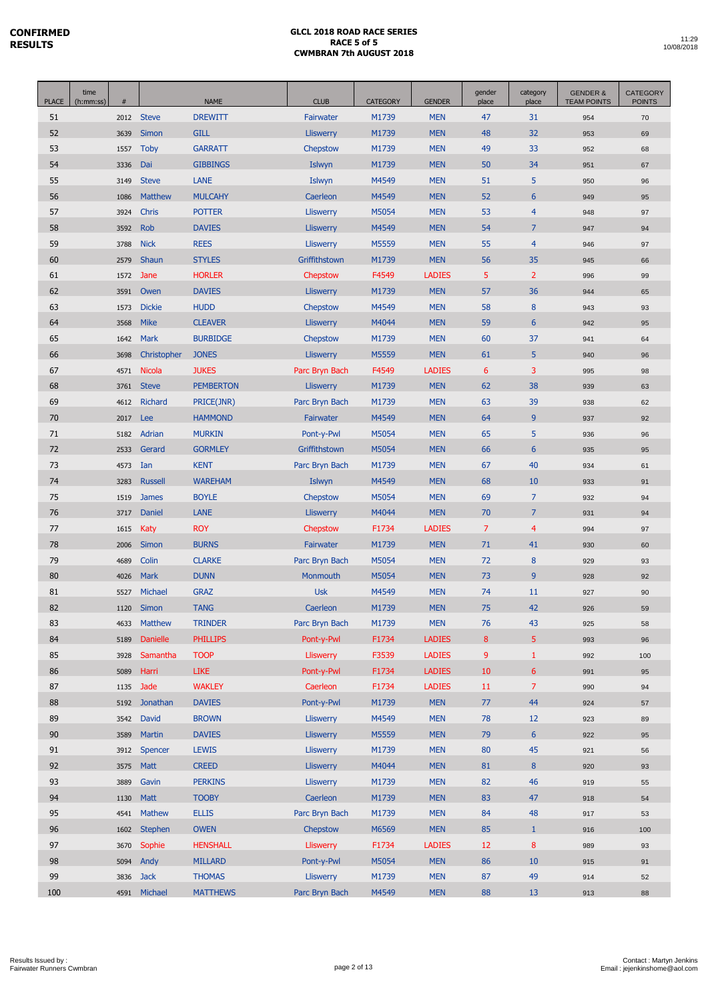| <b>PLACE</b> | time<br>(h:mm:ss) | #    |                 | <b>NAME</b>      | <b>CLUB</b>      | <b>CATEGORY</b> | <b>GENDER</b> | gender<br>place | category<br>place | <b>GENDER &amp;</b><br><b>TEAM POINTS</b> | <b>CATEGORY</b><br><b>POINTS</b> |
|--------------|-------------------|------|-----------------|------------------|------------------|-----------------|---------------|-----------------|-------------------|-------------------------------------------|----------------------------------|
| 51           |                   | 2012 | <b>Steve</b>    | <b>DREWITT</b>   | Fairwater        | M1739           | <b>MEN</b>    | 47              | 31                | 954                                       | 70                               |
| 52           |                   | 3639 | Simon           | <b>GILL</b>      | <b>Lliswerry</b> | M1739           | <b>MEN</b>    | 48              | 32                | 953                                       | 69                               |
| 53           |                   | 1557 | <b>Toby</b>     | <b>GARRATT</b>   | Chepstow         | M1739           | <b>MEN</b>    | 49              | 33                | 952                                       | 68                               |
| 54           |                   | 3336 | Dai             | <b>GIBBINGS</b>  | Islwyn           | M1739           | <b>MEN</b>    | 50              | 34                | 951                                       | 67                               |
| 55           |                   | 3149 | <b>Steve</b>    | <b>LANE</b>      | Islwyn           | M4549           | <b>MEN</b>    | 51              | 5                 | 950                                       | 96                               |
| 56           |                   | 1086 | <b>Matthew</b>  | <b>MULCAHY</b>   | Caerleon         | M4549           | <b>MEN</b>    | 52              | 6                 | 949                                       | 95                               |
| 57           |                   | 3924 | Chris           | <b>POTTER</b>    | <b>Lliswerry</b> | M5054           | <b>MEN</b>    | 53              | $\overline{4}$    | 948                                       | 97                               |
| 58           |                   | 3592 | <b>Rob</b>      | <b>DAVIES</b>    | <b>Lliswerry</b> | M4549           | <b>MEN</b>    | 54              | $\overline{7}$    | 947                                       | 94                               |
| 59           |                   | 3788 | <b>Nick</b>     | <b>REES</b>      | <b>Lliswerry</b> | M5559           | <b>MEN</b>    | 55              | $\overline{4}$    | 946                                       | 97                               |
| 60           |                   | 2579 | Shaun           | <b>STYLES</b>    | Griffithstown    | M1739           | <b>MEN</b>    | 56              | 35                | 945                                       | 66                               |
| 61           |                   | 1572 | Jane            | <b>HORLER</b>    | Chepstow         | F4549           | <b>LADIES</b> | 5               | $\overline{2}$    | 996                                       | 99                               |
| 62           |                   | 3591 | Owen            | <b>DAVIES</b>    | <b>Lliswerry</b> | M1739           | <b>MEN</b>    | 57              | 36                | 944                                       | 65                               |
| 63           |                   | 1573 | <b>Dickie</b>   | <b>HUDD</b>      | Chepstow         | M4549           | <b>MEN</b>    | 58              | 8                 | 943                                       | 93                               |
| 64           |                   | 3568 | <b>Mike</b>     | <b>CLEAVER</b>   | <b>Lliswerry</b> | M4044           | <b>MEN</b>    | 59              | $6\phantom{1}6$   | 942                                       | 95                               |
| 65           |                   | 1642 | <b>Mark</b>     | <b>BURBIDGE</b>  | Chepstow         | M1739           | <b>MEN</b>    | 60              | 37                | 941                                       | 64                               |
| 66           |                   | 3698 | Christopher     | <b>JONES</b>     | <b>Lliswerry</b> | M5559           | <b>MEN</b>    | 61              | 5                 | 940                                       | 96                               |
| 67           |                   | 4571 | <b>Nicola</b>   | <b>JUKES</b>     | Parc Bryn Bach   | F4549           | <b>LADIES</b> | 6               | 3                 | 995                                       | 98                               |
| 68           |                   | 3761 | <b>Steve</b>    | <b>PEMBERTON</b> | <b>Lliswerry</b> | M1739           | <b>MEN</b>    | 62              | 38                | 939                                       | 63                               |
| 69           |                   | 4612 | <b>Richard</b>  | PRICE(JNR)       | Parc Bryn Bach   | M1739           | <b>MEN</b>    | 63              | 39                | 938                                       | 62                               |
| 70           |                   | 2017 | Lee             | <b>HAMMOND</b>   | Fairwater        | M4549           | <b>MEN</b>    | 64              | 9                 | 937                                       | 92                               |
| 71           |                   | 5182 | Adrian          | <b>MURKIN</b>    | Pont-y-Pwl       | M5054           | <b>MEN</b>    | 65              | 5                 | 936                                       | 96                               |
| 72           |                   | 2533 | Gerard          | <b>GORMLEY</b>   | Griffithstown    | M5054           | <b>MEN</b>    | 66              | $6\phantom{1}6$   | 935                                       | 95                               |
| 73           |                   | 4573 | Ian             | <b>KENT</b>      | Parc Bryn Bach   | M1739           | <b>MEN</b>    | 67              | 40                | 934                                       | 61                               |
| 74           |                   | 3283 | <b>Russell</b>  | <b>WAREHAM</b>   | Islwyn           | M4549           | <b>MEN</b>    | 68              | 10                | 933                                       | 91                               |
| 75           |                   | 1519 | <b>James</b>    | <b>BOYLE</b>     | Chepstow         | M5054           | <b>MEN</b>    | 69              | $\overline{7}$    | 932                                       | 94                               |
| 76           |                   | 3717 | <b>Daniel</b>   | <b>LANE</b>      | <b>Lliswerry</b> | M4044           | <b>MEN</b>    | 70              | $\overline{7}$    | 931                                       | 94                               |
| 77           |                   | 1615 | Katy            | <b>ROY</b>       | Chepstow         | F1734           | <b>LADIES</b> | $\overline{7}$  | 4                 | 994                                       | 97                               |
| 78           |                   | 2006 | <b>Simon</b>    | <b>BURNS</b>     | Fairwater        | M1739           | <b>MEN</b>    | 71              | 41                | 930                                       | 60                               |
| 79           |                   | 4689 | Colin           | <b>CLARKE</b>    | Parc Bryn Bach   | M5054           | <b>MEN</b>    | 72              | 8                 | 929                                       | 93                               |
| 80           |                   | 4026 | <b>Mark</b>     | <b>DUNN</b>      | <b>Monmouth</b>  | M5054           | <b>MEN</b>    | 73              | 9                 | 928                                       | 92                               |
| 81           |                   | 5527 | Michael         | <b>GRAZ</b>      | <b>Usk</b>       | M4549           | <b>MEN</b>    | 74              | 11                | 927                                       | 90                               |
| 82           |                   | 1120 | <b>Simon</b>    | <b>TANG</b>      | Caerleon         | M1739           | <b>MEN</b>    | 75              | 42                | 926                                       | 59                               |
| 83           |                   | 4633 | Matthew         | <b>TRINDER</b>   | Parc Bryn Bach   | M1739           | <b>MEN</b>    | 76              | 43                | 925                                       | 58                               |
| 84           |                   | 5189 | <b>Danielle</b> | <b>PHILLIPS</b>  | Pont-v-Pwl       | F1734           | <b>LADIES</b> | 8               | 5                 | 993                                       | 96                               |
| 85           |                   | 3928 | Samantha        | <b>TOOP</b>      | <b>Lliswerry</b> | F3539           | <b>LADIES</b> | 9               | $\mathbf{1}$      | 992                                       | 100                              |
| 86           |                   | 5089 | Harri           | <b>LIKE</b>      | Pont-y-Pwl       | F1734           | <b>LADIES</b> | 10              | 6 <sup>1</sup>    | 991                                       | 95                               |
| 87           |                   | 1135 | Jade            | <b>WAKLEY</b>    | Caerleon         | F1734           | <b>LADIES</b> | 11              | $\overline{7}$    | 990                                       | 94                               |
| 88           |                   | 5192 | Jonathan        | <b>DAVIES</b>    | Pont-y-Pwl       | M1739           | <b>MEN</b>    | 77              | 44                | 924                                       | 57                               |
| 89           |                   | 3542 | David           | <b>BROWN</b>     | Lliswerry        | M4549           | <b>MEN</b>    | 78              | 12                | 923                                       | 89                               |
| 90           |                   | 3589 | Martin          | <b>DAVIES</b>    | <b>Lliswerry</b> | M5559           | <b>MEN</b>    | 79              | $6\phantom{1}$    | 922                                       | 95                               |
| 91           |                   | 3912 | Spencer         | <b>LEWIS</b>     | <b>Lliswerry</b> | M1739           | <b>MEN</b>    | 80              | 45                | 921                                       | 56                               |
| 92           |                   | 3575 | <b>Matt</b>     | <b>CREED</b>     | <b>Lliswerry</b> | M4044           | <b>MEN</b>    | 81              | 8                 | 920                                       | 93                               |
| 93           |                   | 3889 | Gavin           | <b>PERKINS</b>   | <b>Lliswerry</b> | M1739           | <b>MEN</b>    | 82              | 46                | 919                                       | 55                               |
| 94           |                   | 1130 | <b>Matt</b>     | <b>TOOBY</b>     | Caerleon         | M1739           | <b>MEN</b>    | 83              | 47                | 918                                       | 54                               |
| 95           |                   | 4541 | <b>Mathew</b>   | <b>ELLIS</b>     | Parc Bryn Bach   | M1739           | <b>MEN</b>    | 84              | 48                | 917                                       | 53                               |
| 96           |                   | 1602 | <b>Stephen</b>  | <b>OWEN</b>      | Chepstow         | M6569           | <b>MEN</b>    | 85              | $\mathbf{1}$      | 916                                       | 100                              |
| 97           |                   | 3670 | Sophie          | <b>HENSHALL</b>  | <b>Lliswerry</b> | F1734           | <b>LADIES</b> | 12              | 8                 | 989                                       | 93                               |
| 98           |                   | 5094 | Andy            | <b>MILLARD</b>   | Pont-y-Pwl       | M5054           | <b>MEN</b>    | 86              | 10                | 915                                       | 91                               |
| 99           |                   | 3836 | <b>Jack</b>     | <b>THOMAS</b>    | Lliswerry        | M1739           | <b>MEN</b>    | 87              | 49                | 914                                       | 52                               |
| 100          |                   | 4591 | Michael         | <b>MATTHEWS</b>  | Parc Bryn Bach   | M4549           | <b>MEN</b>    | 88              | 13                | 913                                       | 88                               |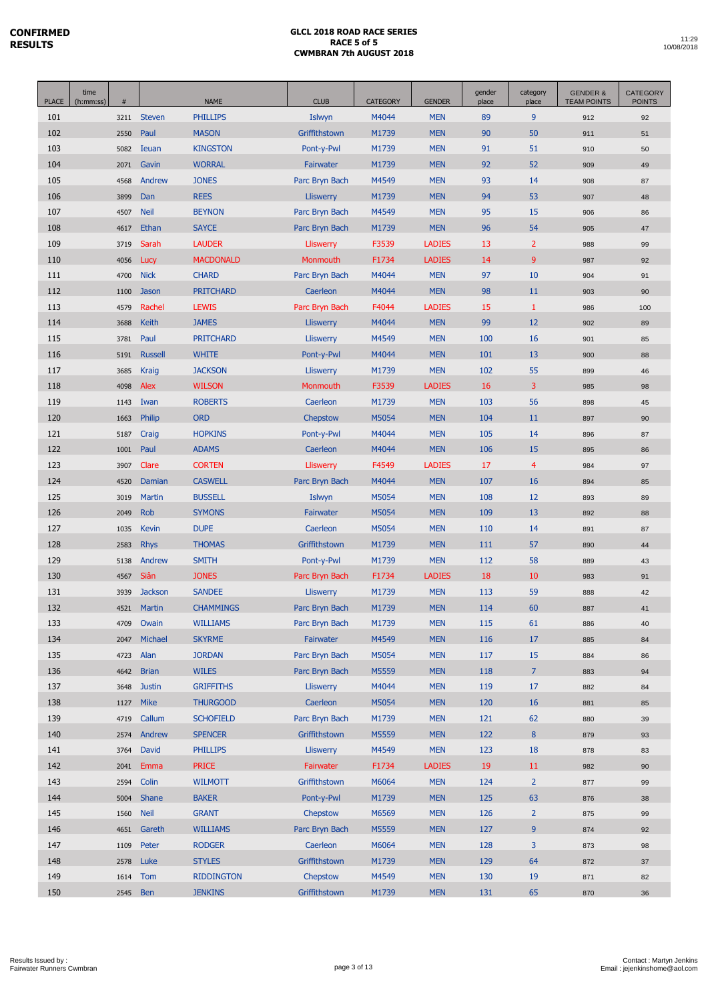| time<br>gender<br>category<br><b>PLACE</b><br><b>CLUB</b><br>$\#$<br><b>NAME</b><br><b>CATEGORY</b><br><b>GENDER</b><br>place<br>place<br>(h:mm:ss)                                  | <b>GENDER &amp;</b><br><b>TEAM POINTS</b> | <b>CATEGORY</b><br><b>POINTS</b> |
|--------------------------------------------------------------------------------------------------------------------------------------------------------------------------------------|-------------------------------------------|----------------------------------|
| M4044<br><b>Steven</b><br><b>PHILLIPS</b><br>Islwyn<br><b>MEN</b><br>89<br>9<br>101<br>3211                                                                                          | 912                                       | 92                               |
| 102<br><b>MASON</b><br>M1739<br><b>MEN</b><br>90<br>50<br>Paul<br>Griffithstown<br>2550                                                                                              | 911                                       | 51                               |
| 103<br><b>KINGSTON</b><br>Pont-y-Pwl<br>M1739<br><b>MEN</b><br>91<br>51<br>5082<br>Ieuan                                                                                             | 910                                       | 50                               |
| 104<br><b>WORRAL</b><br><b>MEN</b><br>92<br>52<br>Gavin<br>M1739<br>2071<br>Fairwater                                                                                                | 909                                       | 49                               |
| 105<br>Andrew<br><b>JONES</b><br>Parc Bryn Bach<br>M4549<br><b>MEN</b><br>93<br>14<br>4568                                                                                           | 908                                       | 87                               |
| 106<br><b>REES</b><br>M1739<br><b>MEN</b><br>94<br>53<br>3899<br>Dan<br><b>Lliswerry</b>                                                                                             | 907                                       | 48                               |
| 15<br>107<br><b>Neil</b><br><b>BEYNON</b><br>Parc Bryn Bach<br>M4549<br><b>MEN</b><br>95<br>4507                                                                                     | 906                                       | 86                               |
| 108<br><b>MEN</b><br>96<br>54<br>Ethan<br><b>SAYCE</b><br>Parc Bryn Bach<br>M1739<br>4617                                                                                            | 905                                       | 47                               |
| $\overline{2}$<br>109<br><b>LAUDER</b><br>F3539<br><b>LADIES</b><br>13<br>3719<br>Sarah<br>Lliswerry                                                                                 | 988                                       | 99                               |
| 9<br>110<br><b>MACDONALD</b><br>Monmouth<br>F1734<br><b>LADIES</b><br>14<br>4056<br>Lucy                                                                                             | 987                                       | 92                               |
| <b>CHARD</b><br>Parc Bryn Bach<br>M4044<br><b>MEN</b><br>97<br>10<br>111<br><b>Nick</b><br>4700                                                                                      | 904                                       | 91                               |
| 112<br>M4044<br><b>MEN</b><br>98<br><b>PRITCHARD</b><br>Caerleon<br>11<br>1100<br>Jason                                                                                              | 903                                       | 90                               |
| 113<br>Rachel<br><b>LEWIS</b><br>Parc Bryn Bach<br>F4044<br><b>LADIES</b><br>15<br>$\mathbf{1}$<br>4579                                                                              | 986                                       | 100                              |
| 99<br>12<br>114<br><b>Keith</b><br><b>JAMES</b><br><b>Lliswerry</b><br>M4044<br><b>MEN</b><br>3688                                                                                   | 902                                       | 89                               |
| <b>MEN</b><br>100<br>115<br>3781<br>Paul<br><b>PRITCHARD</b><br><b>Lliswerry</b><br>M4549<br>16                                                                                      | 901                                       | 85                               |
| <b>WHITE</b><br>116<br><b>Russell</b><br>Pont-y-Pwl<br>M4044<br><b>MEN</b><br>101<br>13<br>5191                                                                                      | 900                                       | 88                               |
| 117<br><b>JACKSON</b><br><b>Lliswerry</b><br>M1739<br><b>MEN</b><br>102<br>55<br>3685<br>Kraig                                                                                       | 899                                       | 46                               |
| 3<br>118<br>16<br>Alex<br><b>WILSON</b><br>F3539<br><b>LADIES</b><br>4098<br>Monmouth                                                                                                | 985                                       | 98                               |
| <b>ROBERTS</b><br>M1739<br><b>MEN</b><br>56<br>119<br>Caerleon<br>103<br>1143<br>Iwan                                                                                                | 898                                       | 45                               |
| 120<br>Philip<br><b>ORD</b><br>M5054<br><b>MEN</b><br>104<br>Chepstow<br>11<br>1663                                                                                                  | 897                                       | 90                               |
| 121<br><b>HOPKINS</b><br>M4044<br><b>MEN</b><br>105<br>Pont-y-Pwl<br>14<br>5187<br>Craig                                                                                             | 896                                       | 87                               |
| 122<br>M4044<br><b>MEN</b><br>106<br>15<br>Paul<br><b>ADAMS</b><br>Caerleon<br>1001                                                                                                  | 895                                       | 86                               |
| <b>LADIES</b><br>$\overline{4}$<br>123<br><b>CORTEN</b><br>Lliswerry<br>F4549<br>17<br>3907<br>Clare                                                                                 | 984                                       | 97                               |
| 124<br><b>CASWELL</b><br>M4044<br><b>MEN</b><br>107<br>16<br>Damian<br>Parc Bryn Bach<br>4520                                                                                        | 894                                       | 85                               |
| 125<br><b>Martin</b><br><b>BUSSELL</b><br>Islwyn<br>M5054<br><b>MEN</b><br>108<br>12<br>3019                                                                                         | 893                                       | 89                               |
| 126<br><b>MEN</b><br>2049<br><b>Rob</b><br><b>SYMONS</b><br>Fairwater<br>M5054<br>109<br>13                                                                                          | 892                                       | 88                               |
| <b>DUPE</b><br>127<br>Caerleon<br>M5054<br><b>MEN</b><br>110<br>14<br>1035<br>Kevin                                                                                                  | 891                                       | 87                               |
| <b>THOMAS</b><br>57<br>128<br><b>Rhys</b><br>Griffithstown<br>M1739<br><b>MEN</b><br>111<br>2583                                                                                     | 890                                       | 44                               |
| 129<br><b>SMITH</b><br><b>MEN</b><br>112<br>58<br>Andrew<br>Pont-y-Pwl<br>M1739<br>5138                                                                                              | 889                                       | 43                               |
| 130<br>Siân<br><b>JONES</b><br><b>LADIES</b><br>18<br>Parc Bryn Bach<br>F1734<br>10<br>4567                                                                                          | 983                                       | 91                               |
| 59<br>131<br><b>Jackson</b><br><b>SANDEE</b><br>M1739<br><b>MEN</b><br>113<br>3939<br>Lliswerry                                                                                      | 888                                       | 42                               |
| 132<br>60<br><b>Martin</b><br><b>CHAMMINGS</b><br>Parc Bryn Bach<br>M1739<br><b>MEN</b><br>114<br>4521                                                                               | 887                                       | 41                               |
| 133<br>Owain<br><b>WILLIAMS</b><br>Parc Bryn Bach<br>M1739<br><b>MEN</b><br>115<br>61<br>4709                                                                                        | 886                                       | 40                               |
| 134<br>Michael<br><b>SKYRME</b><br>Fairwater<br>M4549<br><b>MEN</b><br>116<br>17<br>2047                                                                                             | 885                                       | 84                               |
| 135<br>Alan<br><b>JORDAN</b><br>Parc Bryn Bach<br>M5054<br><b>MEN</b><br>117<br>15<br>4723                                                                                           | 884                                       | 86                               |
| $\overline{7}$<br>136<br><b>Brian</b><br><b>WILES</b><br>Parc Bryn Bach<br>M5559<br>118<br>4642<br><b>MEN</b>                                                                        | 883                                       | 94                               |
| 137<br><b>Justin</b><br><b>GRIFFITHS</b><br>Lliswerry<br>M4044<br><b>MEN</b><br>119<br>$17\,$<br>3648                                                                                | 882                                       | 84                               |
| Mike<br>138<br><b>THURGOOD</b><br>Caerleon<br>M5054<br><b>MEN</b><br>120<br>16<br>1127                                                                                               | 881                                       | 85                               |
| 139<br>Callum<br><b>SCHOFIELD</b><br>Parc Bryn Bach<br>M1739<br><b>MEN</b><br>121<br>62<br>4719                                                                                      | 880                                       | 39                               |
| 140<br>$8\phantom{1}$<br>Andrew<br><b>SPENCER</b><br>Griffithstown<br>M5559<br><b>MEN</b><br>122<br>2574                                                                             | 879                                       | 93                               |
| 141<br>David<br><b>PHILLIPS</b><br><b>Lliswerry</b><br>M4549<br><b>MEN</b><br>123<br>18<br>3764                                                                                      | 878                                       | 83                               |
| <b>PRICE</b><br>142<br>Emma<br>Fairwater<br>F1734<br><b>LADIES</b><br>19<br>11<br>2041                                                                                               | 982                                       | 90                               |
| 143<br>Colin<br><b>WILMOTT</b><br>Griffithstown<br>M6064<br><b>MEN</b><br>124<br>$\overline{2}$<br>2594                                                                              | 877                                       | 99                               |
| 144<br>Shane<br><b>BAKER</b><br>Pont-y-Pwl<br>M1739<br><b>MEN</b><br>125<br>63<br>5004                                                                                               | 876                                       | 38                               |
| 145<br><b>Neil</b><br><b>GRANT</b><br>M6569<br>$\overline{2}$<br>1560<br>Chepstow<br><b>MEN</b><br>126                                                                               | 875                                       | 99                               |
| 9<br>146<br>Gareth<br><b>WILLIAMS</b><br>Parc Bryn Bach<br>M5559<br><b>MEN</b><br>127<br>4651                                                                                        | 874                                       | 92                               |
| 147<br>Peter<br><b>RODGER</b><br>Caerleon<br>M6064<br><b>MEN</b><br>128<br>3<br>1109                                                                                                 | 873                                       | 98                               |
| 148<br>Luke<br><b>STYLES</b><br>Griffithstown<br>M1739<br><b>MEN</b><br>129<br>64<br>2578<br>149<br><b>RIDDINGTON</b><br>Chepstow<br>M4549<br><b>MEN</b><br>130<br>19<br>1614<br>Tom | 872                                       | 37                               |
|                                                                                                                                                                                      | 871                                       | 82                               |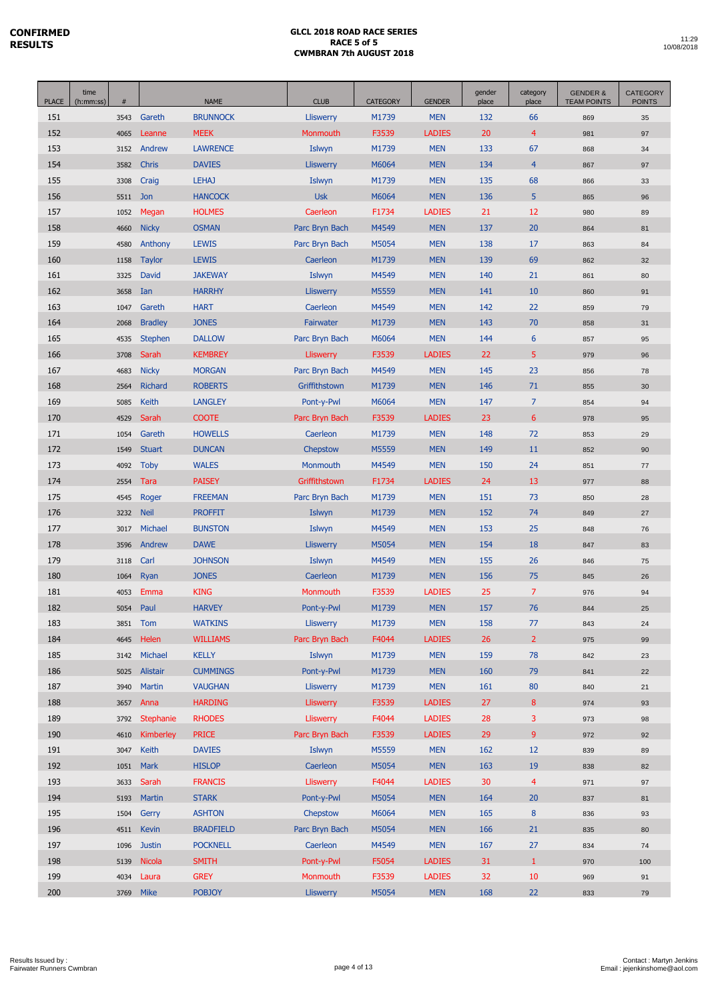| <b>PLACE</b> | time<br>(h:mm:ss) | $\#$ |                | <b>NAME</b>      | <b>CLUB</b>      | <b>CATEGORY</b> | <b>GENDER</b> | gender<br>place | category<br>place | <b>GENDER &amp;</b><br><b>TEAM POINTS</b> | <b>CATEGORY</b><br><b>POINTS</b> |
|--------------|-------------------|------|----------------|------------------|------------------|-----------------|---------------|-----------------|-------------------|-------------------------------------------|----------------------------------|
| 151          |                   | 3543 | Gareth         | <b>BRUNNOCK</b>  | <b>Lliswerry</b> | M1739           | <b>MEN</b>    | 132             | 66                | 869                                       | 35                               |
| 152          |                   | 4065 | Leanne         | <b>MEEK</b>      | Monmouth         | F3539           | <b>LADIES</b> | 20              | $\overline{4}$    | 981                                       | 97                               |
| 153          |                   | 3152 | Andrew         | <b>LAWRENCE</b>  | Islwyn           | M1739           | <b>MEN</b>    | 133             | 67                | 868                                       | 34                               |
| 154          |                   | 3582 | <b>Chris</b>   | <b>DAVIES</b>    | <b>Lliswerry</b> | M6064           | <b>MEN</b>    | 134             | $\overline{4}$    | 867                                       | 97                               |
| 155          |                   | 3308 | Craig          | <b>LEHAJ</b>     | Islwyn           | M1739           | <b>MEN</b>    | 135             | 68                | 866                                       | 33                               |
| 156          |                   | 5511 | Jon            | <b>HANCOCK</b>   | <b>Usk</b>       | M6064           | <b>MEN</b>    | 136             | 5                 | 865                                       | 96                               |
| 157          |                   | 1052 | Megan          | <b>HOLMES</b>    | Caerleon         | F1734           | <b>LADIES</b> | 21              | 12                | 980                                       | 89                               |
| 158          |                   | 4660 | <b>Nicky</b>   | <b>OSMAN</b>     | Parc Bryn Bach   | M4549           | <b>MEN</b>    | 137             | 20                | 864                                       | 81                               |
| 159          |                   | 4580 | Anthony        | <b>LEWIS</b>     | Parc Bryn Bach   | M5054           | <b>MEN</b>    | 138             | 17                | 863                                       | 84                               |
| 160          |                   | 1158 | <b>Taylor</b>  | <b>LEWIS</b>     | Caerleon         | M1739           | <b>MEN</b>    | 139             | 69                | 862                                       | 32                               |
| 161          |                   | 3325 | <b>David</b>   | <b>JAKEWAY</b>   | Islwyn           | M4549           | <b>MEN</b>    | 140             | 21                | 861                                       | 80                               |
| 162          |                   | 3658 | Ian            | <b>HARRHY</b>    | <b>Lliswerry</b> | M5559           | <b>MEN</b>    | 141             | 10                | 860                                       | 91                               |
| 163          |                   | 1047 | Gareth         | <b>HART</b>      | Caerleon         | M4549           | <b>MEN</b>    | 142             | 22                | 859                                       | 79                               |
| 164          |                   | 2068 | <b>Bradley</b> | <b>JONES</b>     | Fairwater        | M1739           | <b>MEN</b>    | 143             | 70                | 858                                       | 31                               |
| 165          |                   | 4535 | <b>Stephen</b> | <b>DALLOW</b>    | Parc Bryn Bach   | M6064           | <b>MEN</b>    | 144             | 6                 | 857                                       | 95                               |
| 166          |                   | 3708 | Sarah          | <b>KEMBREY</b>   | <b>Lliswerry</b> | F3539           | <b>LADIES</b> | 22              | 5                 | 979                                       | 96                               |
| 167          |                   | 4683 | <b>Nicky</b>   | <b>MORGAN</b>    | Parc Bryn Bach   | M4549           | <b>MEN</b>    | 145             | 23                | 856                                       | 78                               |
| 168          |                   | 2564 | Richard        | <b>ROBERTS</b>   | Griffithstown    | M1739           | <b>MEN</b>    | 146             | 71                | 855                                       | 30                               |
| 169          |                   | 5085 | Keith          | <b>LANGLEY</b>   | Pont-y-Pwl       | M6064           | <b>MEN</b>    | 147             | $\overline{7}$    | 854                                       | 94                               |
| 170          |                   | 4529 | Sarah          | <b>COOTE</b>     | Parc Bryn Bach   | F3539           | <b>LADIES</b> | 23              | 6                 | 978                                       | 95                               |
| 171          |                   | 1054 | Gareth         | <b>HOWELLS</b>   | Caerleon         | M1739           | <b>MEN</b>    | 148             | 72                | 853                                       | 29                               |
| 172          |                   | 1549 | <b>Stuart</b>  | <b>DUNCAN</b>    | Chepstow         | M5559           | <b>MEN</b>    | 149             | 11                | 852                                       | 90                               |
| 173          |                   | 4092 | <b>Toby</b>    | <b>WALES</b>     | Monmouth         | M4549           | <b>MEN</b>    | 150             | 24                | 851                                       | $77$                             |
| 174          |                   | 2554 | <b>Tara</b>    | <b>PAISEY</b>    | Griffithstown    | F1734           | <b>LADIES</b> | 24              | 13                | 977                                       | 88                               |
| 175          |                   | 4545 | Roger          | <b>FREEMAN</b>   | Parc Bryn Bach   | M1739           | <b>MEN</b>    | 151             | 73                | 850                                       | 28                               |
| 176          |                   | 3232 | <b>Neil</b>    | <b>PROFFIT</b>   | Islwyn           | M1739           | <b>MEN</b>    | 152             | 74                | 849                                       | 27                               |
| 177          |                   | 3017 | Michael        | <b>BUNSTON</b>   | Islwyn           | M4549           | <b>MEN</b>    | 153             | 25                | 848                                       | 76                               |
| 178          |                   | 3596 | Andrew         | <b>DAWE</b>      | <b>Lliswerry</b> | M5054           | <b>MEN</b>    | 154             | 18                | 847                                       | 83                               |
| 179          |                   | 3118 | Carl           | <b>JOHNSON</b>   | Islwyn           | M4549           | <b>MEN</b>    | 155             | 26                | 846                                       | 75                               |
| 180          |                   | 1064 | Ryan           | <b>JONES</b>     | Caerleon         | M1739           | <b>MEN</b>    | 156             | 75                | 845                                       | 26                               |
| 181          |                   | 4053 | Emma           | <b>KING</b>      | Monmouth         | F3539           | <b>LADIES</b> | 25              | $\overline{7}$    | 976                                       | 94                               |
| 182          |                   | 5054 | Paul           | <b>HARVEY</b>    | Pont-y-Pwl       | M1739           | <b>MEN</b>    | 157             | 76                | 844                                       | 25                               |
| 183          |                   | 3851 | Tom            | <b>WATKINS</b>   | Lliswerry        | M1739           | <b>MEN</b>    | 158             | 77                | 843                                       | 24                               |
| 184          |                   | 4645 | Helen          | <b>WILLIAMS</b>  | Parc Bryn Bach   | F4044           | <b>LADIES</b> | 26              | $\overline{2}$    | 975                                       | 99                               |
| 185          |                   | 3142 | Michael        | <b>KELLY</b>     | Islwyn           | M1739           | <b>MEN</b>    | 159             | 78                | 842                                       | 23                               |
| 186          |                   | 5025 | Alistair       | <b>CUMMINGS</b>  | Pont-y-Pwl       | M1739           | <b>MEN</b>    | 160             | 79                | 841                                       | 22                               |
| 187          |                   | 3940 | <b>Martin</b>  | <b>VAUGHAN</b>   | <b>Lliswerry</b> | M1739           | <b>MEN</b>    | 161             | 80                | 840                                       | 21                               |
| 188          |                   | 3657 | Anna           | <b>HARDING</b>   | <b>Lliswerry</b> | F3539           | <b>LADIES</b> | 27              | 8                 | 974                                       | 93                               |
| 189          |                   | 3792 | Stephanie      | <b>RHODES</b>    | Lliswerry        | F4044           | <b>LADIES</b> | 28              | 3                 | 973                                       | 98                               |
| 190          |                   | 4610 | Kimberley      | <b>PRICE</b>     | Parc Bryn Bach   | F3539           | <b>LADIES</b> | 29              | 9                 | 972                                       | 92                               |
| 191          |                   | 3047 | Keith          | <b>DAVIES</b>    | Islwyn           | M5559           | <b>MEN</b>    | 162             | 12                | 839                                       | 89                               |
| 192          |                   | 1051 | <b>Mark</b>    | <b>HISLOP</b>    | Caerleon         | M5054           | <b>MEN</b>    | 163             | 19                | 838                                       | 82                               |
| 193          |                   | 3633 | Sarah          | <b>FRANCIS</b>   | <b>Lliswerry</b> | F4044           | <b>LADIES</b> | 30              | $\overline{4}$    | 971                                       | 97                               |
| 194          |                   | 5193 | <b>Martin</b>  | <b>STARK</b>     | Pont-y-Pwl       | M5054           | <b>MEN</b>    | 164             | 20                | 837                                       | 81                               |
| 195          |                   | 1504 | Gerry          | <b>ASHTON</b>    | Chepstow         | M6064           | <b>MEN</b>    | 165             | $\bf 8$           | 836                                       | 93                               |
| 196          |                   | 4511 | <b>Kevin</b>   | <b>BRADFIELD</b> | Parc Bryn Bach   | M5054           | <b>MEN</b>    | 166             | 21                | 835                                       | 80                               |
| 197          |                   | 1096 | <b>Justin</b>  | <b>POCKNELL</b>  | Caerleon         | M4549           | <b>MEN</b>    | 167             | 27                | 834                                       | 74                               |
| 198          |                   | 5139 | Nicola         | <b>SMITH</b>     | Pont-y-Pwl       | F5054           | <b>LADIES</b> | 31              | $\mathbf{1}$      | 970                                       | 100                              |
| 199          |                   | 4034 | Laura          | <b>GREY</b>      | Monmouth         | F3539           | <b>LADIES</b> | 32              | 10                | 969                                       | 91                               |
| 200          |                   |      | 3769 Mike      | <b>POBJOY</b>    | <b>Lliswerry</b> | M5054           | <b>MEN</b>    | 168             | 22                | 833                                       | 79                               |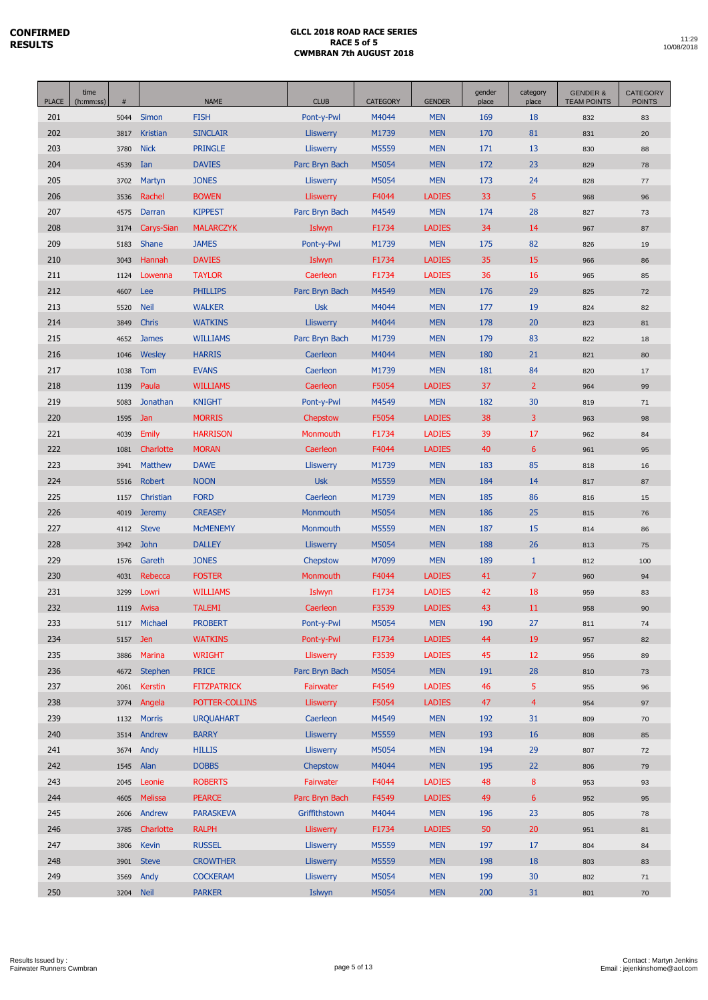| <b>PLACE</b> | time<br>(h:mm:ss) | $\#$         |                      | <b>NAME</b>                        | <b>CLUB</b>                          | <b>CATEGORY</b> | <b>GENDER</b>            | gender<br>place | category<br>place | <b>GENDER &amp;</b><br><b>TEAM POINTS</b> | <b>CATEGORY</b><br><b>POINTS</b> |
|--------------|-------------------|--------------|----------------------|------------------------------------|--------------------------------------|-----------------|--------------------------|-----------------|-------------------|-------------------------------------------|----------------------------------|
| 201          |                   | 5044         | Simon                | <b>FISH</b>                        | Pont-y-Pwl                           | M4044           | <b>MEN</b>               | 169             | 18                | 832                                       | 83                               |
| 202          |                   | 3817         | Kristian             | <b>SINCLAIR</b>                    | <b>Lliswerry</b>                     | M1739           | <b>MEN</b>               | 170             | 81                | 831                                       | 20                               |
| 203          |                   | 3780         | <b>Nick</b>          | <b>PRINGLE</b>                     | Lliswerry                            | M5559           | <b>MEN</b>               | 171             | 13                | 830                                       | 88                               |
| 204          |                   | 4539         | Ian                  | <b>DAVIES</b>                      | Parc Bryn Bach                       | M5054           | <b>MEN</b>               | 172             | 23                | 829                                       | 78                               |
| 205          |                   | 3702         | Martyn               | <b>JONES</b>                       | <b>Lliswerry</b>                     | M5054           | <b>MEN</b>               | 173             | 24                | 828                                       | $77$                             |
| 206          |                   | 3536         | Rachel               | <b>BOWEN</b>                       | Lliswerry                            | F4044           | <b>LADIES</b>            | 33              | 5                 | 968                                       | 96                               |
| 207          |                   | 4575         | Darran               | <b>KIPPEST</b>                     | Parc Bryn Bach                       | M4549           | <b>MEN</b>               | 174             | 28                | 827                                       | 73                               |
| 208          |                   | 3174         | Carys-Sian           | <b>MALARCZYK</b>                   | Islwyn                               | F1734           | <b>LADIES</b>            | 34              | 14                | 967                                       | 87                               |
| 209          |                   | 5183         | Shane                | <b>JAMES</b>                       | Pont-y-Pwl                           | M1739           | <b>MEN</b>               | 175             | 82                | 826                                       | 19                               |
| 210          |                   | 3043         | Hannah               | <b>DAVIES</b>                      | Islwyn                               | F1734           | <b>LADIES</b>            | 35              | 15                | 966                                       | 86                               |
| 211          |                   | 1124         | Lowenna              | <b>TAYLOR</b>                      | Caerleon                             | F1734           | <b>LADIES</b>            | 36              | 16                | 965                                       | 85                               |
| 212          |                   | 4607         | Lee                  | <b>PHILLIPS</b>                    | Parc Bryn Bach                       | M4549           | <b>MEN</b>               | 176             | 29                | 825                                       | 72                               |
| 213          |                   | 5520         | <b>Neil</b>          | <b>WALKER</b>                      | <b>Usk</b>                           | M4044           | <b>MEN</b>               | 177             | 19                | 824                                       | 82                               |
| 214          |                   | 3849         | <b>Chris</b>         | <b>WATKINS</b>                     | <b>Lliswerry</b>                     | M4044           | <b>MEN</b>               | 178             | 20                | 823                                       | 81                               |
| 215          |                   | 4652         | <b>James</b>         | <b>WILLIAMS</b>                    | Parc Bryn Bach                       | M1739           | <b>MEN</b>               | 179             | 83                | 822                                       | 18                               |
| 216          |                   | 1046         | Wesley               | <b>HARRIS</b>                      | Caerleon                             | M4044           | <b>MEN</b>               | 180             | 21                | 821                                       | 80                               |
| 217          |                   | 1038         | Tom                  | <b>EVANS</b>                       | Caerleon                             | M1739           | <b>MEN</b>               | 181             | 84                | 820                                       | 17                               |
| 218          |                   | 1139         | Paula                | <b>WILLIAMS</b>                    | Caerleon                             | F5054           | <b>LADIES</b>            | 37              | $\overline{2}$    | 964                                       | 99                               |
| 219          |                   | 5083         | Jonathan             | <b>KNIGHT</b>                      | Pont-y-Pwl                           | M4549           | <b>MEN</b>               | 182             | 30                | 819                                       | 71                               |
| 220          |                   | 1595         | Jan                  | <b>MORRIS</b>                      | Chepstow                             | F5054           | <b>LADIES</b>            | 38              | 3                 | 963                                       | 98                               |
| 221          |                   | 4039         | <b>Emily</b>         | <b>HARRISON</b>                    | Monmouth                             | F1734           | <b>LADIES</b>            | 39              | 17                | 962                                       | 84                               |
| 222          |                   | 1081         | Charlotte            | <b>MORAN</b>                       | Caerleon                             | F4044           | <b>LADIES</b>            | 40              | $6\phantom{1}$    | 961                                       | 95                               |
| 223          |                   | 3941         | <b>Matthew</b>       | <b>DAWE</b>                        | <b>Lliswerry</b>                     | M1739           | <b>MEN</b>               | 183             | 85                | 818                                       | 16                               |
| 224          |                   | 5516         | <b>Robert</b>        | <b>NOON</b>                        | <b>Usk</b>                           | M5559           | <b>MEN</b>               | 184             | 14                | 817                                       | 87                               |
| 225          |                   | 1157         | Christian            | <b>FORD</b>                        | Caerleon                             | M1739           | <b>MEN</b>               | 185             | 86                | 816                                       | 15                               |
| 226          |                   | 4019         | <b>Jeremy</b>        | <b>CREASEY</b>                     | Monmouth                             | M5054           | <b>MEN</b>               | 186             | 25                | 815                                       | 76                               |
| 227          |                   | 4112         | <b>Steve</b>         | <b>MCMENEMY</b>                    | Monmouth                             | M5559           | <b>MEN</b>               | 187             | 15                | 814                                       | 86                               |
| 228          |                   | 3942         | <b>John</b>          | <b>DALLEY</b>                      | <b>Lliswerry</b>                     | M5054           | <b>MEN</b>               | 188             | 26                | 813                                       | 75                               |
| 229          |                   | 1576         | Gareth               | <b>JONES</b>                       | Chepstow                             | M7099           | <b>MEN</b>               | 189             | $\mathbf{1}$      | 812                                       | 100                              |
| 230          |                   | 4031         | Rebecca              | <b>FOSTER</b>                      | Monmouth                             | F4044           | <b>LADIES</b>            | 41              | $\overline{7}$    | 960                                       | 94                               |
| 231          |                   | 3299         | Lowri                | <b>WILLIAMS</b>                    | Islwyn                               | F1734           | <b>LADIES</b>            | 42              | 18                | 959                                       | 83                               |
| 232          |                   | 1119         | Avisa                | <b>TALEMI</b>                      | Caerleon                             | F3539           | <b>LADIES</b>            | 43              | 11                | 958                                       | 90                               |
| 233          |                   | 5117         | Michael              | <b>PROBERT</b>                     | Pont-y-Pwl                           | M5054           | <b>MEN</b>               | 190             | 27                | 811                                       | 74                               |
| 234          |                   | 5157         | Jen                  | <b>WATKINS</b>                     | Pont-y-Pwl                           | F1734           | <b>LADIES</b>            | 44              | 19                | 957                                       | 82                               |
| 235          |                   | 3886         | Marina               | <b>WRIGHT</b>                      | <b>Lliswerry</b>                     | F3539           | <b>LADIES</b>            | 45              | 12                | 956                                       | 89                               |
| 236          |                   | 4672         | <b>Stephen</b>       | <b>PRICE</b>                       | Parc Bryn Bach                       | M5054           | <b>MEN</b>               | 191             | 28                | 810                                       | 73                               |
| 237          |                   | 2061         | Kerstin              | <b>FITZPATRICK</b>                 | Fairwater                            | F4549           | <b>LADIES</b>            | 46              | 5                 | 955                                       | 96                               |
| 238          |                   | 3774         | Angela               | POTTER-COLLINS                     | <b>Lliswerry</b>                     | F5054           | <b>LADIES</b>            | 47              | $\overline{4}$    | 954                                       | 97                               |
| 239          |                   | 1132         | <b>Morris</b>        | <b>URQUAHART</b>                   | Caerleon                             | M4549           | <b>MEN</b>               | 192             | 31                | 809                                       | 70                               |
| 240          |                   | 3514         | Andrew               | <b>BARRY</b>                       | <b>Lliswerry</b>                     | M5559           | <b>MEN</b>               | 193             | 16                | 808                                       | 85                               |
| 241          |                   | 3674         | Andy                 | <b>HILLIS</b>                      | Lliswerry                            | M5054           | <b>MEN</b>               | 194             | 29                | 807                                       | 72                               |
| 242          |                   | 1545         | Alan                 | <b>DOBBS</b>                       | Chepstow                             | M4044           | <b>MEN</b>               | 195             | 22                | 806                                       | 79                               |
| 243          |                   | 2045         | Leonie               | <b>ROBERTS</b>                     | Fairwater                            | F4044           | <b>LADIES</b>            | 48              | 8                 | 953                                       | 93                               |
| 244          |                   | 4605         | <b>Melissa</b>       | <b>PEARCE</b>                      | Parc Bryn Bach                       | F4549           | <b>LADIES</b>            | 49              | 6                 | 952                                       | 95                               |
| 245          |                   | 2606         | Andrew               | <b>PARASKEVA</b>                   | Griffithstown                        | M4044           | <b>MEN</b>               | 196             | 23<br>20          | 805                                       | 78                               |
| 246          |                   | 3785         | Charlotte            | <b>RALPH</b>                       | <b>Lliswerry</b>                     | F1734           | <b>LADIES</b>            | 50              |                   | 951                                       | 81                               |
| 247          |                   | 3806         | Kevin                | <b>RUSSEL</b>                      | <b>Lliswerry</b>                     | M5559           | <b>MEN</b>               | 197             | 17<br>18          | 804                                       | 84                               |
| 248<br>249   |                   | 3901<br>3569 | <b>Steve</b><br>Andy | <b>CROWTHER</b><br><b>COCKERAM</b> | <b>Lliswerry</b><br><b>Lliswerry</b> | M5559<br>M5054  | <b>MEN</b><br><b>MEN</b> | 198<br>199      | 30                | 803                                       | 83                               |
| 250          |                   | 3204 Neil    |                      | <b>PARKER</b>                      | Islwyn                               | M5054           | <b>MEN</b>               | 200             | 31                | 802<br>801                                | 71<br>70                         |
|              |                   |              |                      |                                    |                                      |                 |                          |                 |                   |                                           |                                  |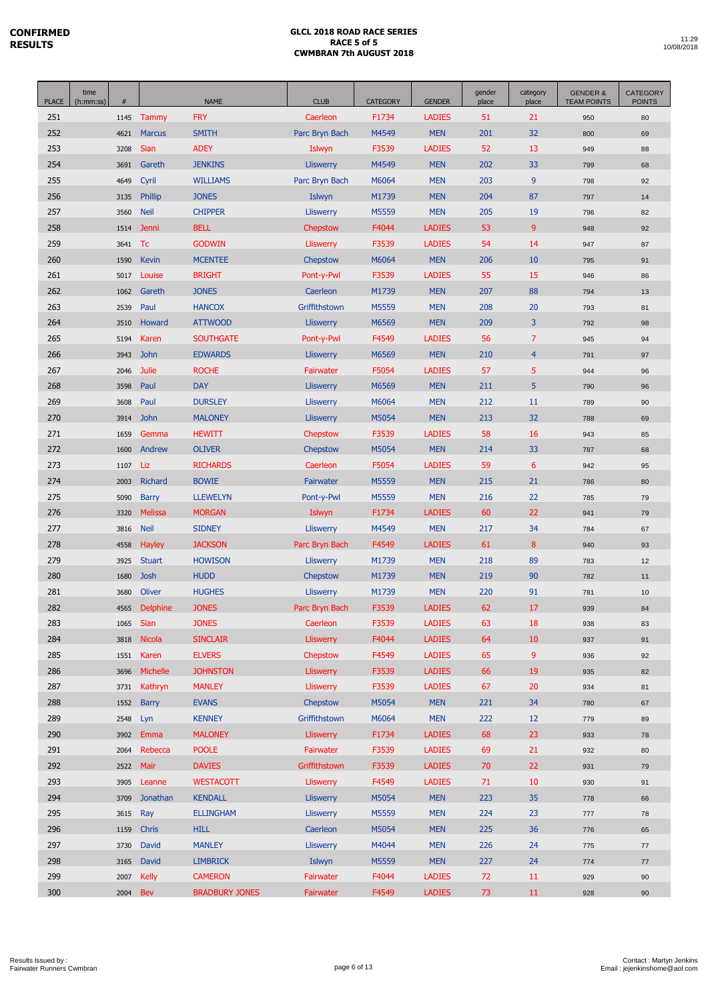| <b>PLACE</b> | time<br>(h:mm:ss) | #            |                       | <b>NAME</b>                     | <b>CLUB</b>                  | <b>CATEGORY</b> | <b>GENDER</b>            | gender<br>place | category<br>place | <b>GENDER &amp;</b><br><b>TEAM POINTS</b> | <b>CATEGORY</b><br><b>POINTS</b> |
|--------------|-------------------|--------------|-----------------------|---------------------------------|------------------------------|-----------------|--------------------------|-----------------|-------------------|-------------------------------------------|----------------------------------|
| 251          |                   | 1145         | Tammy                 | <b>FRY</b>                      | Caerleon                     | F1734           | <b>LADIES</b>            | 51              | 21                | 950                                       | 80                               |
| 252          |                   | 4621         | <b>Marcus</b>         | <b>SMITH</b>                    | Parc Bryn Bach               | M4549           | <b>MEN</b>               | 201             | 32                | 800                                       | 69                               |
| 253          |                   | 3208         | Sian                  | <b>ADEY</b>                     | Islwyn                       | F3539           | <b>LADIES</b>            | 52              | 13                | 949                                       | 88                               |
| 254          |                   | 3691         | Gareth                | <b>JENKINS</b>                  | Lliswerry                    | M4549           | <b>MEN</b>               | 202             | 33                | 799                                       | 68                               |
| 255          |                   | 4649         | Cyril                 | <b>WILLIAMS</b>                 | Parc Bryn Bach               | M6064           | <b>MEN</b>               | 203             | 9                 | 798                                       | 92                               |
| 256          |                   | 3135         | Phillip               | <b>JONES</b>                    | Islwyn                       | M1739           | <b>MEN</b>               | 204             | 87                | 797                                       | 14                               |
| 257          |                   | 3560         | <b>Neil</b>           | <b>CHIPPER</b>                  | <b>Lliswerry</b>             | M5559           | <b>MEN</b>               | 205             | 19                | 796                                       | 82                               |
| 258          |                   | 1514         | Jenni                 | <b>BELL</b>                     | Chepstow                     | F4044           | <b>LADIES</b>            | 53              | 9                 | 948                                       | 92                               |
| 259          |                   | 3641         | Tc                    | <b>GODWIN</b>                   | <b>Lliswerry</b>             | F3539           | <b>LADIES</b>            | 54              | 14                | 947                                       | 87                               |
| 260          |                   | 1590         | Kevin                 | <b>MCENTEE</b>                  | Chepstow                     | M6064           | <b>MEN</b>               | 206             | 10                | 795                                       | 91                               |
| 261          |                   | 5017         | Louise                | <b>BRIGHT</b>                   | Pont-y-Pwl                   | F3539           | <b>LADIES</b>            | 55              | 15                | 946                                       | 86                               |
| 262          |                   | 1062         | Gareth                | <b>JONES</b>                    | Caerleon                     | M1739           | <b>MEN</b>               | 207             | 88                | 794                                       | 13                               |
| 263          |                   | 2539         | Paul                  | <b>HANCOX</b>                   | Griffithstown                | M5559           | <b>MEN</b>               | 208             | 20                | 793                                       | 81                               |
| 264          |                   | 3510         | Howard                | <b>ATTWOOD</b>                  | <b>Lliswerry</b>             | M6569           | <b>MEN</b>               | 209             | 3                 | 792                                       | 98                               |
| 265          |                   | 5194         | Karen                 | <b>SOUTHGATE</b>                | Pont-y-Pwl                   | F4549           | <b>LADIES</b>            | 56              | 7                 | 945                                       | 94                               |
| 266          |                   | 3943         | <b>John</b>           | <b>EDWARDS</b>                  | <b>Lliswerry</b>             | M6569           | <b>MEN</b>               | 210             | $\overline{4}$    | 791                                       | 97                               |
| 267          |                   | 2046         | Julie                 | <b>ROCHE</b>                    | Fairwater                    | F5054           | <b>LADIES</b>            | 57              | 5                 | 944                                       | 96                               |
| 268          |                   | 3598         | Paul                  | <b>DAY</b>                      | <b>Lliswerry</b>             | M6569           | <b>MEN</b>               | 211             | 5                 | 790                                       | 96                               |
| 269          |                   | 3608         | Paul                  | <b>DURSLEY</b>                  | Lliswerry                    | M6064           | <b>MEN</b>               | 212             | 11                | 789                                       | 90                               |
| 270          |                   | 3914         | <b>John</b>           | <b>MALONEY</b>                  | <b>Lliswerry</b>             | M5054           | <b>MEN</b>               | 213             | 32                | 788                                       | 69                               |
| 271          |                   | 1659         | Gemma                 | <b>HEWITT</b>                   | Chepstow                     | F3539           | <b>LADIES</b>            | 58              | 16                | 943                                       | 85                               |
| 272          |                   | 1600         | Andrew                | <b>OLIVER</b>                   | Chepstow                     | M5054           | <b>MEN</b>               | 214             | 33                | 787                                       | 68                               |
| 273          |                   | 1107         | Liz                   | <b>RICHARDS</b>                 | Caerleon                     | F5054           | <b>LADIES</b>            | 59              | 6                 | 942                                       | 95                               |
| 274          |                   | 2003         | Richard               | <b>BOWIE</b>                    | Fairwater                    | M5559           | <b>MEN</b>               | 215             | 21                | 786                                       | 80                               |
| 275          |                   | 5090         | <b>Barry</b>          | <b>LLEWELYN</b>                 | Pont-y-Pwl                   | M5559           | <b>MEN</b>               | 216             | 22                | 785                                       | 79                               |
| 276          |                   | 3320         | <b>Melissa</b>        | <b>MORGAN</b>                   | Islwyn                       | F1734           | <b>LADIES</b>            | 60              | 22                | 941                                       | 79                               |
| 277          |                   | 3816         | <b>Neil</b>           | <b>SIDNEY</b>                   | <b>Lliswerry</b>             | M4549           | <b>MEN</b>               | 217             | 34                | 784                                       | 67                               |
| 278          |                   | 4558         | Hayley                | <b>JACKSON</b>                  | Parc Bryn Bach               | F4549           | <b>LADIES</b>            | 61              | 8                 | 940                                       | 93                               |
| 279          |                   | 3925         | <b>Stuart</b>         | <b>HOWISON</b>                  | <b>Lliswerry</b>             | M1739           | <b>MEN</b>               | 218             | 89                | 783                                       | 12                               |
| 280          |                   | 1680         | <b>Josh</b>           | <b>HUDD</b>                     | Chepstow                     | M1739           | <b>MEN</b>               | 219             | 90                | 782                                       | 11                               |
| 281          |                   | 3680         | <b>Oliver</b>         | <b>HUGHES</b>                   | <b>Lliswerry</b>             | M1739           | <b>MEN</b>               | 220             | 91                | 781                                       | 10                               |
| 282          |                   | 4565         | <b>Delphine</b>       | <b>JONES</b>                    | Parc Bryn Bach               | F3539           | <b>LADIES</b>            | 62              | 17                | 939                                       | 84                               |
| 283          |                   | 1065         | Sian                  | <b>JONES</b>                    | Caerleon                     | F3539           | <b>LADIES</b>            | 63              | 18                | 938                                       | 83                               |
| 284          |                   | 3818         | Nicola                | <b>SINCLAIR</b>                 | Lliswerry                    | F4044           | <b>LADIES</b>            | 64              | 10                | 937                                       | 91                               |
| 285          |                   | 1551         | Karen                 | <b>ELVERS</b>                   | Chepstow                     | F4549           | <b>LADIES</b>            | 65              | 9                 | 936                                       | 92                               |
| 286          |                   | 3696         | Michelle              | <b>JOHNSTON</b>                 | <b>Lliswerry</b>             | F3539           | <b>LADIES</b>            | 66              | 19                | 935                                       | 82                               |
| 287          |                   | 3731         | Kathryn               | <b>MANLEY</b>                   | <b>Lliswerry</b>             | F3539           | <b>LADIES</b>            | 67              | 20                | 934                                       | 81                               |
| 288          |                   | 1552         | <b>Barry</b>          | <b>EVANS</b>                    | <b>Chepstow</b>              | M5054           | <b>MEN</b>               | 221             | 34                | 780                                       | 67                               |
| 289          |                   | 2548         | Lyn                   | <b>KENNEY</b>                   | Griffithstown                | M6064           | <b>MEN</b>               | 222             | 12                | 779                                       | 89                               |
| 290          |                   | 3902         | Emma                  | <b>MALONEY</b>                  | <b>Lliswerry</b>             | F1734           | <b>LADIES</b>            | 68              | 23                | 933                                       | 78                               |
| 291          |                   | 2064         | Rebecca               | <b>POOLE</b>                    | Fairwater                    | F3539           | <b>LADIES</b>            | 69              | 21                | 932                                       | 80                               |
| 292          |                   | 2522         | Mair                  | <b>DAVIES</b>                   | Griffithstown                | F3539           | <b>LADIES</b>            | 70              | 22                | 931                                       | 79                               |
| 293<br>294   |                   | 3905         | Leanne                | <b>WESTACOTT</b>                | <b>Lliswerry</b>             | F4549           | <b>LADIES</b>            | 71              | 10<br>35          | 930                                       | 91                               |
|              |                   | 3709         | Jonathan              | <b>KENDALL</b>                  | <b>Lliswerry</b>             | M5054           | <b>MEN</b>               | 223             |                   | 778                                       | 66                               |
| 295<br>296   |                   | 3615         | Ray<br>Chris          | <b>ELLINGHAM</b><br><b>HILL</b> | <b>Lliswerry</b><br>Caerleon | M5559<br>M5054  | <b>MEN</b><br><b>MEN</b> | 224<br>225      | 23<br>36          | 777                                       | 78                               |
| 297          |                   | 1159         |                       | <b>MANLEY</b>                   |                              | M4044           | <b>MEN</b>               | 226             | 24                | 776                                       | 65                               |
| 298          |                   | 3730         | David                 | <b>LIMBRICK</b>                 | <b>Lliswerry</b><br>Islwyn   | M5559           | <b>MEN</b>               | 227             | 24                | 775                                       | 77                               |
| 299          |                   | 3165<br>2007 | David<br><b>Kelly</b> | <b>CAMERON</b>                  | Fairwater                    | F4044           | <b>LADIES</b>            | 72              | 11                | 774<br>929                                | 77                               |
| 300          |                   | 2004 Bev     |                       | <b>BRADBURY JONES</b>           | Fairwater                    | F4549           | <b>LADIES</b>            | 73              | 11                | 928                                       | 90<br>90                         |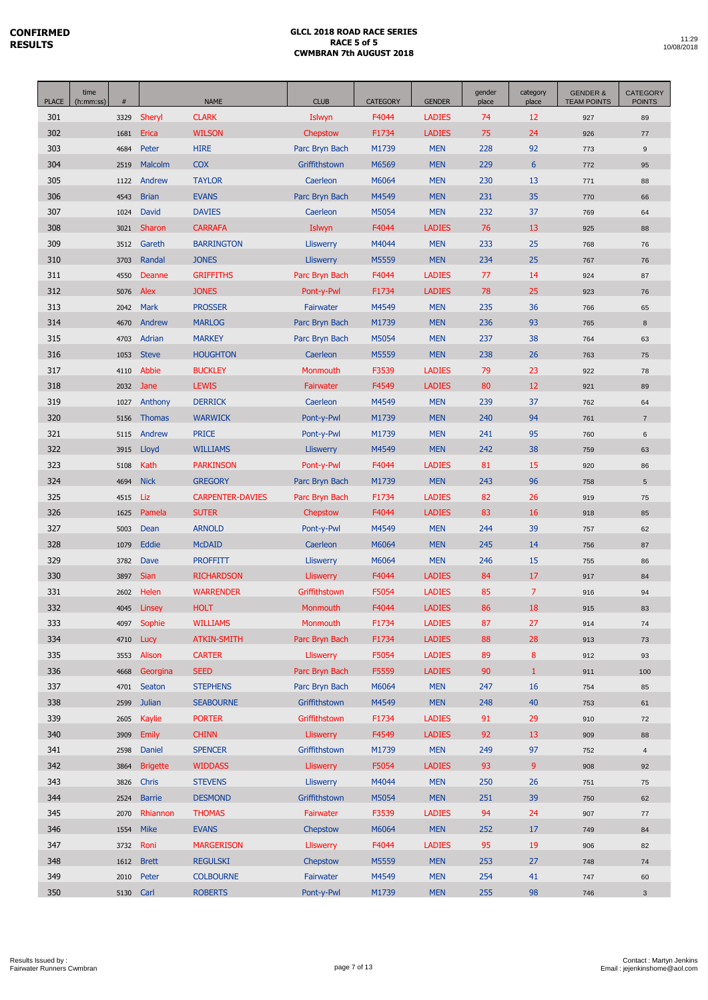| <b>PLACE</b> | time<br>(h:mm:ss) | $\#$         |                 | <b>NAME</b>                      | <b>CLUB</b>                  | <b>CATEGORY</b> | <b>GENDER</b>            | gender<br>place | category<br>place | <b>GENDER &amp;</b><br><b>TEAM POINTS</b> | <b>CATEGORY</b><br><b>POINTS</b> |
|--------------|-------------------|--------------|-----------------|----------------------------------|------------------------------|-----------------|--------------------------|-----------------|-------------------|-------------------------------------------|----------------------------------|
| 301          |                   | 3329         | Sheryl          | <b>CLARK</b>                     | Islwyn                       | F4044           | <b>LADIES</b>            | 74              | 12                | 927                                       | 89                               |
| 302          |                   | 1681         | Erica           | <b>WILSON</b>                    | Chepstow                     | F1734           | <b>LADIES</b>            | 75              | 24                | 926                                       | $77 \,$                          |
| 303          |                   | 4684         | Peter           | <b>HIRE</b>                      | Parc Bryn Bach               | M1739           | <b>MEN</b>               | 228             | 92                | 773                                       | 9                                |
| 304          |                   | 2519         | Malcolm         | <b>COX</b>                       | Griffithstown                | M6569           | <b>MEN</b>               | 229             | $6\phantom{1}6$   | 772                                       | 95                               |
| 305          |                   | 1122         | Andrew          | <b>TAYLOR</b>                    | Caerleon                     | M6064           | <b>MEN</b>               | 230             | 13                | 771                                       | 88                               |
| 306          |                   | 4543         | <b>Brian</b>    | <b>EVANS</b>                     | Parc Bryn Bach               | M4549           | <b>MEN</b>               | 231             | 35                | 770                                       | 66                               |
| 307          |                   | 1024         | David           | <b>DAVIES</b>                    | Caerleon                     | M5054           | <b>MEN</b>               | 232             | 37                | 769                                       | 64                               |
| 308          |                   | 3021         | Sharon          | <b>CARRAFA</b>                   | Islwyn                       | F4044           | <b>LADIES</b>            | 76              | 13                | 925                                       | 88                               |
| 309          |                   | 3512         | Gareth          | <b>BARRINGTON</b>                | <b>Lliswerry</b>             | M4044           | <b>MEN</b>               | 233             | 25                | 768                                       | 76                               |
| 310          |                   | 3703         | Randal          | <b>JONES</b>                     | <b>Lliswerry</b>             | M5559           | <b>MEN</b>               | 234             | 25                | 767                                       | 76                               |
| 311          |                   | 4550         | Deanne          | <b>GRIFFITHS</b>                 | Parc Bryn Bach               | F4044           | <b>LADIES</b>            | 77              | 14                | 924                                       | 87                               |
| 312          |                   | 5076         | Alex            | <b>JONES</b>                     | Pont-y-Pwl                   | F1734           | <b>LADIES</b>            | 78              | 25                | 923                                       | 76                               |
| 313          |                   | 2042         | Mark            | <b>PROSSER</b>                   | Fairwater                    | M4549           | <b>MEN</b>               | 235             | 36                | 766                                       | 65                               |
| 314          |                   | 4670         | Andrew          | <b>MARLOG</b>                    | Parc Bryn Bach               | M1739           | <b>MEN</b>               | 236             | 93                | 765                                       | 8                                |
| 315          |                   | 4703         | Adrian          | <b>MARKEY</b>                    | Parc Bryn Bach               | M5054           | <b>MEN</b>               | 237             | 38                | 764                                       | 63                               |
| 316          |                   | 1053         | <b>Steve</b>    | <b>HOUGHTON</b>                  | Caerleon                     | M5559           | <b>MEN</b>               | 238             | 26                | 763                                       | 75                               |
| 317          |                   | 4110         | Abbie           | <b>BUCKLEY</b>                   | Monmouth                     | F3539           | <b>LADIES</b>            | 79              | 23                | 922                                       | 78                               |
| 318          |                   | 2032         | Jane            | <b>LEWIS</b>                     | Fairwater                    | F4549           | <b>LADIES</b>            | 80              | 12                | 921                                       | 89                               |
| 319          |                   | 1027         | Anthony         | <b>DERRICK</b>                   | Caerleon                     | M4549           | <b>MEN</b>               | 239             | 37                | 762                                       | 64                               |
| 320          |                   | 5156         | <b>Thomas</b>   | <b>WARWICK</b>                   | Pont-y-Pwl                   | M1739           | <b>MEN</b>               | 240             | 94                | 761                                       | $\overline{7}$                   |
| 321          |                   | 5115         | Andrew          | <b>PRICE</b>                     | Pont-y-Pwl                   | M1739           | <b>MEN</b>               | 241             | 95                | 760                                       | $\,6\,$                          |
| 322          |                   | 3915         | Lloyd           | <b>WILLIAMS</b>                  | <b>Lliswerry</b>             | M4549           | <b>MEN</b>               | 242             | 38                | 759                                       | 63                               |
| 323          |                   | 5108         | Kath            | <b>PARKINSON</b>                 | Pont-y-Pwl                   | F4044           | <b>LADIES</b>            | 81              | 15                | 920                                       | 86                               |
| 324          |                   | 4694         | <b>Nick</b>     | <b>GREGORY</b>                   | Parc Bryn Bach               | M1739           | <b>MEN</b>               | 243             | 96                | 758                                       | $5\phantom{.0}$                  |
| 325          |                   | 4515         | Liz             | <b>CARPENTER-DAVIES</b>          | Parc Bryn Bach               | F1734           | <b>LADIES</b>            | 82              | 26                | 919                                       | 75                               |
| 326          |                   | 1625         | Pamela          | <b>SUTER</b>                     | Chepstow                     | F4044           | <b>LADIES</b>            | 83              | 16                | 918                                       | 85                               |
| 327          |                   | 5003         | Dean            | <b>ARNOLD</b>                    | Pont-y-Pwl                   | M4549           | <b>MEN</b>               | 244             | 39                | 757                                       | 62                               |
| 328<br>329   |                   | 1079         | Eddie<br>Dave   | <b>McDAID</b><br><b>PROFFITT</b> | Caerleon<br><b>Lliswerry</b> | M6064<br>M6064  | <b>MEN</b><br><b>MEN</b> | 245<br>246      | 14<br>15          | 756                                       | 87                               |
| 330          |                   | 3782<br>3897 | <b>Sian</b>     | <b>RICHARDSON</b>                | <b>Lliswerry</b>             | F4044           | <b>LADIES</b>            | 84              | 17                | 755<br>917                                | 86<br>84                         |
| 331          |                   | 2602         | Helen           | <b>WARRENDER</b>                 | Griffithstown                | F5054           | <b>LADIES</b>            | 85              | $\overline{7}$    | 916                                       | 94                               |
| 332          |                   | 4045         | Linsey          | <b>HOLT</b>                      | Monmouth                     | F4044           | <b>LADIES</b>            | 86              | 18                | 915                                       | 83                               |
| 333          |                   | 4097         | Sophie          | <b>WILLIAMS</b>                  | Monmouth                     | F1734           | <b>LADIES</b>            | 87              | 27                | 914                                       | 74                               |
| 334          |                   | 4710         | Lucy            | <b>ATKIN-SMITH</b>               | Parc Bryn Bach               | F1734           | <b>LADIES</b>            | 88              | 28                | 913                                       | 73                               |
| 335          |                   | 3553         | Alison          | <b>CARTER</b>                    | <b>Lliswerry</b>             | F5054           | <b>LADIES</b>            | 89              | $\bf 8$           | 912                                       | 93                               |
| 336          |                   | 4668         | Georgina        | <b>SEED</b>                      | Parc Bryn Bach               | F5559           | <b>LADIES</b>            | 90              | $\mathbf{1}$      | 911                                       | 100                              |
| 337          |                   | 4701         | Seaton          | <b>STEPHENS</b>                  | Parc Bryn Bach               | M6064           | <b>MEN</b>               | 247             | 16                | 754                                       | 85                               |
| 338          |                   | 2599         | <b>Julian</b>   | <b>SEABOURNE</b>                 | Griffithstown                | M4549           | <b>MEN</b>               | 248             | 40                | 753                                       | 61                               |
| 339          |                   | 2605         | Kaylie          | <b>PORTER</b>                    | Griffithstown                | F1734           | <b>LADIES</b>            | 91              | 29                | 910                                       | 72                               |
| 340          |                   | 3909         | <b>Emily</b>    | <b>CHINN</b>                     | <b>Lliswerry</b>             | F4549           | <b>LADIES</b>            | 92              | 13                | 909                                       | 88                               |
| 341          |                   | 2598         | Daniel          | <b>SPENCER</b>                   | Griffithstown                | M1739           | <b>MEN</b>               | 249             | 97                | 752                                       | $\overline{4}$                   |
| 342          |                   | 3864         | <b>Brigette</b> | <b>WIDDASS</b>                   | Lliswerry                    | F5054           | <b>LADIES</b>            | 93              | 9                 | 908                                       | 92                               |
| 343          |                   | 3826         | <b>Chris</b>    | <b>STEVENS</b>                   | <b>Lliswerry</b>             | M4044           | <b>MEN</b>               | 250             | 26                | 751                                       | 75                               |
| 344          |                   | 2524         | <b>Barrie</b>   | <b>DESMOND</b>                   | Griffithstown                | M5054           | <b>MEN</b>               | 251             | 39                | 750                                       | 62                               |
| 345          |                   | 2070         | Rhiannon        | <b>THOMAS</b>                    | Fairwater                    | F3539           | <b>LADIES</b>            | 94              | 24                | 907                                       | 77                               |
| 346          |                   | 1554         | <b>Mike</b>     | <b>EVANS</b>                     | Chepstow                     | M6064           | <b>MEN</b>               | 252             | 17                | 749                                       | 84                               |
| 347          |                   | 3732         | Roni            | <b>MARGERISON</b>                | <b>Lliswerry</b>             | F4044           | <b>LADIES</b>            | 95              | 19                | 906                                       | 82                               |
| 348          |                   | 1612         | <b>Brett</b>    | <b>REGULSKI</b>                  | <b>Chepstow</b>              | M5559           | <b>MEN</b>               | 253             | 27                | 748                                       | 74                               |
| 349          |                   | 2010         | Peter           | <b>COLBOURNE</b>                 | Fairwater                    | M4549           | <b>MEN</b>               | 254             | 41                | 747                                       | 60                               |
| 350          |                   | 5130 Carl    |                 | <b>ROBERTS</b>                   | Pont-y-Pwl                   | M1739           | <b>MEN</b>               | 255             | 98                | 746                                       | $\mathbf{3}$                     |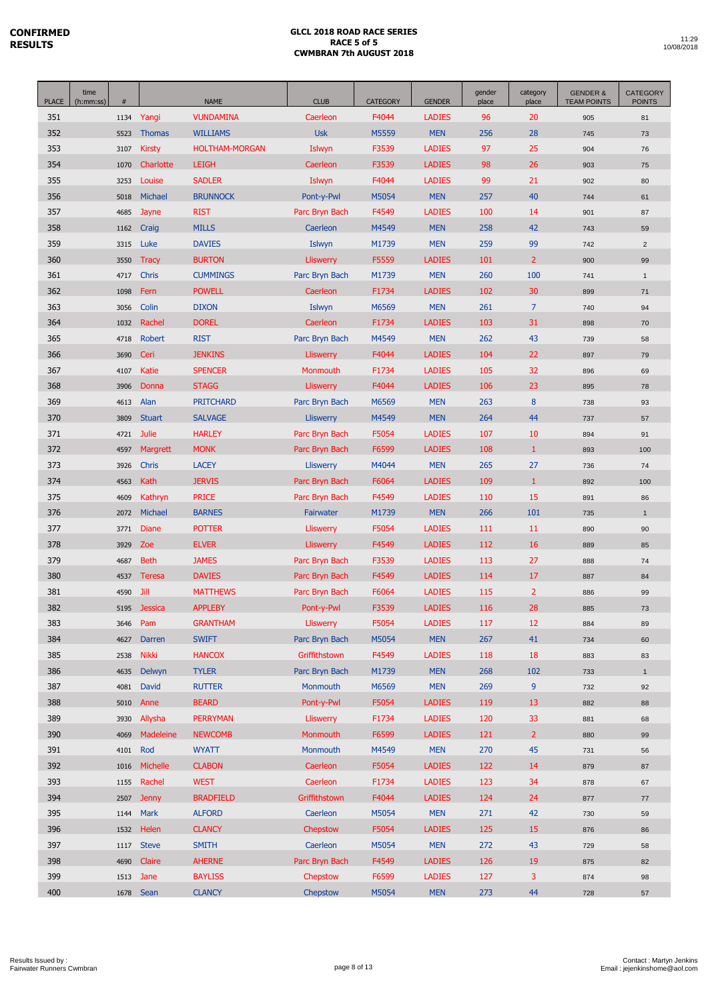| <b>PLACE</b> | time<br>(h:mm:ss) | #            |                 | <b>NAME</b>                    | <b>CLUB</b>                 | <b>CATEGORY</b> | <b>GENDER</b>               | gender<br>place | category<br>place    | <b>GENDER &amp;</b><br><b>TEAM POINTS</b> | <b>CATEGORY</b><br><b>POINTS</b> |
|--------------|-------------------|--------------|-----------------|--------------------------------|-----------------------------|-----------------|-----------------------------|-----------------|----------------------|-------------------------------------------|----------------------------------|
| 351          |                   | 1134         | Yangi           | <b>VUNDAMINA</b>               | Caerleon                    | F4044           | <b>LADIES</b>               | 96              | 20                   | 905                                       | 81                               |
| 352          |                   | 5523         | <b>Thomas</b>   | <b>WILLIAMS</b>                | <b>Usk</b>                  | M5559           | <b>MEN</b>                  | 256             | 28                   | 745                                       | 73                               |
| 353          |                   | 3107         | <b>Kirsty</b>   | <b>HOLTHAM-MORGAN</b>          | Islwyn                      | F3539           | <b>LADIES</b>               | 97              | 25                   | 904                                       | 76                               |
| 354          |                   | 1070         | Charlotte       | <b>LEIGH</b>                   | Caerleon                    | F3539           | <b>LADIES</b>               | 98              | 26                   | 903                                       | 75                               |
| 355          |                   | 3253         | Louise          | <b>SADLER</b>                  | Islwyn                      | F4044           | <b>LADIES</b>               | 99              | 21                   | 902                                       | 80                               |
| 356          |                   | 5018         | Michael         | <b>BRUNNOCK</b>                | Pont-y-Pwl                  | M5054           | <b>MEN</b>                  | 257             | 40                   | 744                                       | 61                               |
| 357          |                   | 4685         | Jayne           | <b>RIST</b>                    | Parc Bryn Bach              | F4549           | <b>LADIES</b>               | 100             | 14                   | 901                                       | 87                               |
| 358          |                   | 1162         | Craig           | <b>MILLS</b>                   | Caerleon                    | M4549           | <b>MEN</b>                  | 258             | 42                   | 743                                       | 59                               |
| 359          |                   | 3315         | Luke            | <b>DAVIES</b>                  | Islwyn                      | M1739           | <b>MEN</b>                  | 259             | 99                   | 742                                       | $\overline{2}$                   |
| 360          |                   | 3550         | <b>Tracy</b>    | <b>BURTON</b>                  | <b>Lliswerry</b>            | F5559           | <b>LADIES</b>               | 101             | $\overline{2}$       | 900                                       | 99                               |
| 361          |                   | 4717         | <b>Chris</b>    | <b>CUMMINGS</b>                | Parc Bryn Bach              | M1739           | <b>MEN</b>                  | 260             | 100                  | 741                                       | $\mathbf{1}$                     |
| 362          |                   | 1098         | Fern            | <b>POWELL</b>                  | Caerleon                    | F1734           | <b>LADIES</b>               | 102             | 30                   | 899                                       | 71                               |
| 363          |                   | 3056         | Colin           | <b>DIXON</b>                   | Islwyn                      | M6569           | <b>MEN</b>                  | 261             | $\overline{7}$       | 740                                       | 94                               |
| 364          |                   | 1032         | Rachel          | <b>DOREL</b>                   | Caerleon                    | F1734           | <b>LADIES</b>               | 103             | 31                   | 898                                       | 70                               |
| 365          |                   | 4718         | Robert          | <b>RIST</b>                    | Parc Bryn Bach              | M4549           | <b>MEN</b>                  | 262             | 43                   | 739                                       | 58                               |
| 366          |                   | 3690         | Ceri            | <b>JENKINS</b>                 | <b>Lliswerry</b>            | F4044           | <b>LADIES</b>               | 104             | 22                   | 897                                       | 79                               |
| 367          |                   | 4107         | Katie           | <b>SPENCER</b>                 | Monmouth                    | F1734           | <b>LADIES</b>               | 105             | 32                   | 896                                       | 69                               |
| 368          |                   | 3906         | Donna           | <b>STAGG</b>                   | <b>Lliswerry</b>            | F4044           | <b>LADIES</b>               | 106             | 23                   | 895                                       | 78                               |
| 369          |                   | 4613         | Alan            | <b>PRITCHARD</b>               | Parc Bryn Bach              | M6569           | <b>MEN</b>                  | 263             | $8\phantom{1}$       | 738                                       | 93                               |
| 370          |                   | 3809         | <b>Stuart</b>   | <b>SALVAGE</b>                 | <b>Lliswerry</b>            | M4549           | <b>MEN</b>                  | 264             | 44                   | 737                                       | 57                               |
| 371          |                   | 4721         | Julie           | <b>HARLEY</b>                  | Parc Bryn Bach              | F5054           | <b>LADIES</b>               | 107             | 10                   | 894                                       | 91                               |
| 372          |                   | 4597         | <b>Margrett</b> | <b>MONK</b>                    | Parc Bryn Bach              | F6599           | <b>LADIES</b>               | 108             | $\mathbf{1}$         | 893                                       | 100                              |
| 373          |                   | 3926         | Chris           | <b>LACEY</b>                   | <b>Lliswerry</b>            | M4044           | <b>MEN</b>                  | 265             | 27                   | 736                                       | 74                               |
| 374          |                   | 4563         | <b>Kath</b>     | <b>JERVIS</b>                  | Parc Bryn Bach              | F6064           | <b>LADIES</b>               | 109             | $\mathbf{1}$         | 892                                       | 100                              |
| 375          |                   | 4609         | Kathryn         | <b>PRICE</b>                   | Parc Bryn Bach              | F4549           | <b>LADIES</b>               | 110             | 15                   | 891                                       | 86                               |
| 376          |                   | 2072         | Michael         | <b>BARNES</b>                  | Fairwater                   | M1739           | <b>MEN</b>                  | 266             | 101                  | 735                                       | $\overline{1}$                   |
| 377          |                   | 3771         | <b>Diane</b>    | <b>POTTER</b>                  | <b>Lliswerry</b>            | F5054           | <b>LADIES</b>               | 111             | 11                   | 890                                       | 90                               |
| 378          |                   | 3929         | Zoe             | <b>ELVER</b>                   | <b>Lliswerry</b>            | F4549           | <b>LADIES</b>               | 112             | 16                   | 889                                       | 85                               |
| 379          |                   | 4687         | <b>Beth</b>     | <b>JAMES</b>                   | Parc Bryn Bach              | F3539           | <b>LADIES</b>               | 113             | 27                   | 888                                       | 74                               |
| 380          |                   | 4537         | Teresa          | <b>DAVIES</b>                  | Parc Bryn Bach              | F4549           | <b>LADIES</b>               | 114             | 17                   | 887                                       | 84                               |
| 381          |                   | 4590         | Jill            | <b>MATTHEWS</b>                | Parc Bryn Bach              | F6064           | <b>LADIES</b>               | 115             | $\overline{2}$       | 886                                       | 99                               |
| 382          |                   | 5195         | Jessica         | <b>APPLEBY</b>                 | Pont-y-Pwl                  | F3539           | <b>LADIES</b>               | 116             | 28                   | 885                                       | 73                               |
| 383          |                   | 3646         | Pam             | <b>GRANTHAM</b>                | <b>Lliswerry</b>            | F5054           | <b>LADIES</b>               | 117             | 12                   | 884                                       | 89                               |
| 384          |                   | 4627         | Darren          | <b>SWIFT</b>                   | Parc Bryn Bach              | M5054           | <b>MEN</b>                  | 267             | 41                   | 734                                       | 60                               |
| 385          |                   | 2538         | <b>Nikki</b>    | <b>HANCOX</b>                  | Griffithstown               | F4549           | <b>LADIES</b>               | 118             | 18                   | 883                                       | 83                               |
| 386          |                   | 4635         | Delwyn          | <b>TYLER</b>                   | Parc Bryn Bach              | M1739           | <b>MEN</b>                  | 268             | 102                  | 733                                       | $\mathbf{1}$                     |
| 387          |                   | 4081         | David           | <b>RUTTER</b>                  | Monmouth                    | M6569           | <b>MEN</b>                  | 269             | 9                    | 732                                       | 92                               |
| 388          |                   | 5010         | Anne            | <b>BEARD</b>                   | Pont-y-Pwl                  | F5054           | <b>LADIES</b>               | 119             | 13                   | 882                                       | 88                               |
| 389<br>390   |                   | 3930         | Allysha         | <b>PERRYMAN</b>                | Lliswerry                   | F1734           | <b>LADIES</b>               | 120             | 33<br>$\overline{2}$ | 881                                       | 68                               |
|              |                   | 4069         | Madeleine       | <b>NEWCOMB</b>                 | Monmouth                    | F6599           | <b>LADIES</b>               | 121             | 45                   | 880                                       | 99                               |
| 391<br>392   |                   | 4101         | Rod<br>Michelle | <b>WYATT</b><br><b>CLABON</b>  | Monmouth<br>Caerleon        | M4549<br>F5054  | <b>MEN</b><br><b>LADIES</b> | 270<br>122      | 14                   | 731                                       | 56                               |
| 393          |                   | 1016         | Rachel          | <b>WEST</b>                    | Caerleon                    | F1734           | <b>LADIES</b>               | 123             | 34                   | 879                                       | 87                               |
| 394          |                   | 1155<br>2507 | <b>Jenny</b>    | <b>BRADFIELD</b>               | Griffithstown               | F4044           | <b>LADIES</b>               | 124             | 24                   | 878                                       | 67<br>$77 \,$                    |
|              |                   |              |                 |                                |                             | M5054           |                             |                 |                      | 877                                       |                                  |
| 395<br>396   |                   | 1144<br>1532 | Mark<br>Helen   | <b>ALFORD</b><br><b>CLANCY</b> | Caerleon<br><b>Chepstow</b> | F5054           | <b>MEN</b><br><b>LADIES</b> | 271<br>125      | 42<br>15             | 730                                       | 59                               |
| 397          |                   |              | 1117 Steve      | <b>SMITH</b>                   | Caerleon                    | M5054           | <b>MEN</b>                  | 272             | 43                   | 876                                       | 86                               |
| 398          |                   | 4690         | Claire          | <b>AHERNE</b>                  | Parc Bryn Bach              | F4549           | <b>LADIES</b>               | 126             | 19                   | 729<br>875                                | 58<br>82                         |
| 399          |                   | 1513         | Jane            | <b>BAYLISS</b>                 | Chepstow                    | F6599           | <b>LADIES</b>               | 127             | 3                    | 874                                       | 98                               |
| 400          |                   |              | 1678 Sean       | <b>CLANCY</b>                  | Chepstow                    | M5054           | <b>MEN</b>                  | 273             | 44                   | 728                                       | 57                               |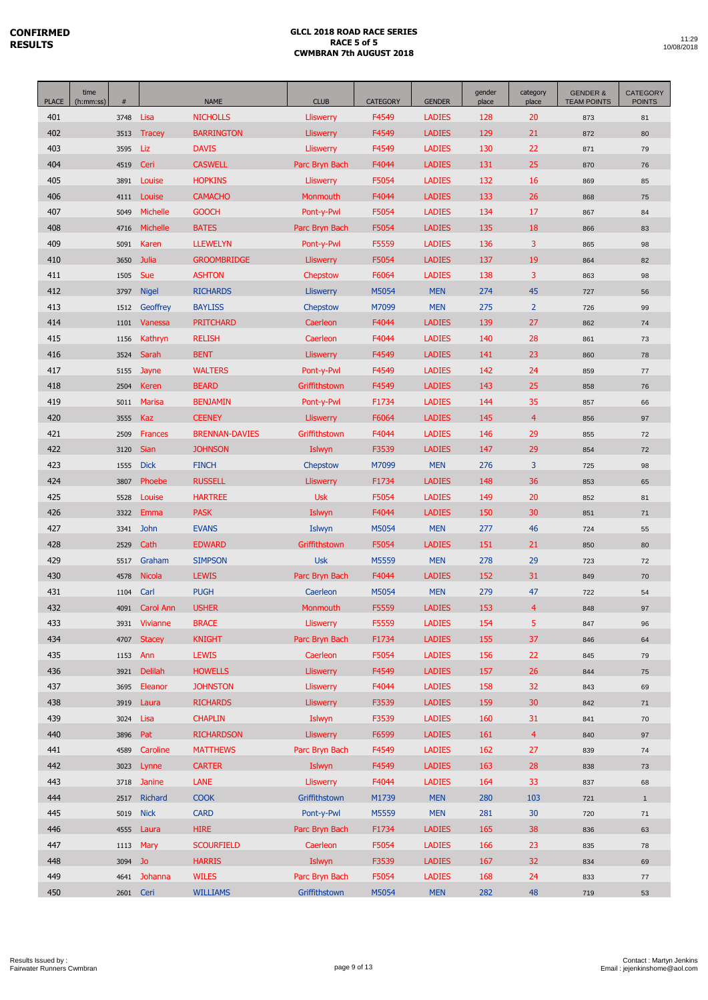| <b>PLACE</b> | time<br>(h:mm:ss) | $\#$         |                           | <b>NAME</b>                        | <b>CLUB</b>                          | <b>CATEGORY</b> | <b>GENDER</b>                  | gender<br>place | category<br>place | <b>GENDER &amp;</b><br><b>TEAM POINTS</b> | <b>CATEGORY</b><br><b>POINTS</b> |
|--------------|-------------------|--------------|---------------------------|------------------------------------|--------------------------------------|-----------------|--------------------------------|-----------------|-------------------|-------------------------------------------|----------------------------------|
| 401          |                   | 3748         | Lisa                      | <b>NICHOLLS</b>                    | <b>Lliswerry</b>                     | F4549           | <b>LADIES</b>                  | 128             | 20                | 873                                       | 81                               |
| 402          |                   | 3513         | <b>Tracey</b>             | <b>BARRINGTON</b>                  | <b>Lliswerry</b>                     | F4549           | <b>LADIES</b>                  | 129             | 21                | 872                                       | 80                               |
| 403          |                   | 3595         | Liz                       | <b>DAVIS</b>                       | <b>Lliswerry</b>                     | F4549           | <b>LADIES</b>                  | 130             | 22                | 871                                       | 79                               |
| 404          |                   | 4519         | Ceri                      | <b>CASWELL</b>                     | Parc Bryn Bach                       | F4044           | <b>LADIES</b>                  | 131             | 25                | 870                                       | 76                               |
| 405          |                   | 3891         | Louise                    | <b>HOPKINS</b>                     | Lliswerry                            | F5054           | <b>LADIES</b>                  | 132             | 16                | 869                                       | 85                               |
| 406          |                   | 4111         | Louise                    | <b>CAMACHO</b>                     | Monmouth                             | F4044           | <b>LADIES</b>                  | 133             | 26                | 868                                       | 75                               |
| 407          |                   | 5049         | <b>Michelle</b>           | <b>GOOCH</b>                       | Pont-y-Pwl                           | F5054           | <b>LADIES</b>                  | 134             | 17                | 867                                       | 84                               |
| 408          |                   | 4716         | <b>Michelle</b>           | <b>BATES</b>                       | Parc Bryn Bach                       | F5054           | <b>LADIES</b>                  | 135             | 18                | 866                                       | 83                               |
| 409          |                   | 5091         | Karen                     | <b>LLEWELYN</b>                    | Pont-y-Pwl                           | F5559           | <b>LADIES</b>                  | 136             | 3                 | 865                                       | 98                               |
| 410          |                   | 3650         | Julia                     | <b>GROOMBRIDGE</b>                 | <b>Lliswerry</b>                     | F5054           | <b>LADIES</b>                  | 137             | 19                | 864                                       | 82                               |
| 411          |                   | 1505         | Sue                       | <b>ASHTON</b>                      | Chepstow                             | F6064           | <b>LADIES</b>                  | 138             | 3                 | 863                                       | 98                               |
| 412          |                   | 3797         | <b>Nigel</b>              | <b>RICHARDS</b>                    | <b>Lliswerry</b>                     | M5054           | <b>MEN</b>                     | 274             | 45                | 727                                       | 56                               |
| 413          |                   | 1512         | Geoffrey                  | <b>BAYLISS</b>                     | Chepstow                             | M7099           | <b>MEN</b>                     | 275             | $\overline{2}$    | 726                                       | 99                               |
| 414          |                   | 1101         | Vanessa                   | <b>PRITCHARD</b>                   | Caerleon                             | F4044           | <b>LADIES</b>                  | 139             | 27                | 862                                       | 74                               |
| 415          |                   | 1156         | Kathryn                   | <b>RELISH</b>                      | Caerleon                             | F4044           | <b>LADIES</b>                  | 140             | 28                | 861                                       | 73                               |
| 416          |                   | 3524         | Sarah                     | <b>BENT</b>                        | <b>Lliswerry</b>                     | F4549           | <b>LADIES</b>                  | 141             | 23                | 860                                       | 78                               |
| 417          |                   | 5155         | Jayne                     | <b>WALTERS</b>                     | Pont-y-Pwl                           | F4549           | <b>LADIES</b>                  | 142             | 24                | 859                                       | $77$                             |
| 418          |                   | 2504         | Keren                     | <b>BEARD</b>                       | Griffithstown                        | F4549           | <b>LADIES</b>                  | 143             | 25                | 858                                       | 76                               |
| 419          |                   | 5011         | <b>Marisa</b>             | <b>BENJAMIN</b>                    | Pont-y-Pwl                           | F1734           | <b>LADIES</b>                  | 144             | 35                | 857                                       | 66                               |
| 420          |                   | 3555         | Kaz                       | <b>CEENEY</b>                      | <b>Lliswerry</b>                     | F6064           | <b>LADIES</b>                  | 145             | $\overline{4}$    | 856                                       | 97                               |
| 421          |                   | 2509         | <b>Frances</b>            | <b>BRENNAN-DAVIES</b>              | Griffithstown                        | F4044           | <b>LADIES</b>                  | 146             | 29                | 855                                       | 72                               |
| 422          |                   | 3120         | Sian                      | <b>JOHNSON</b>                     | Islwyn                               | F3539           | <b>LADIES</b>                  | 147             | 29                | 854                                       | 72                               |
| 423          |                   | 1555         | <b>Dick</b>               | <b>FINCH</b>                       | Chepstow                             | M7099           | <b>MEN</b>                     | 276             | 3                 | 725                                       | 98                               |
| 424          |                   | 3807         | Phoebe                    | <b>RUSSELL</b>                     | <b>Lliswerry</b>                     | F1734           | <b>LADIES</b>                  | 148             | 36                | 853                                       | 65                               |
| 425          |                   | 5528         | Louise                    | <b>HARTREE</b>                     | <b>Usk</b>                           | F5054           | <b>LADIES</b>                  | 149             | 20                | 852                                       | 81                               |
| 426          |                   | 3322         | Emma                      | <b>PASK</b>                        | Islwyn                               | F4044           | <b>LADIES</b>                  | 150             | 30                | 851                                       | 71                               |
| 427          |                   | 3341         | <b>John</b>               | <b>EVANS</b>                       | Islwyn                               | M5054           | <b>MEN</b>                     | 277             | 46                | 724                                       | 55                               |
| 428          |                   | 2529         | Cath                      | <b>EDWARD</b>                      | Griffithstown                        | F5054           | <b>LADIES</b>                  | 151             | 21                | 850                                       | 80                               |
| 429          |                   | 5517         | Graham                    | <b>SIMPSON</b>                     | <b>Usk</b>                           | M5559           | <b>MEN</b>                     | 278             | 29                | 723                                       | 72                               |
| 430          |                   | 4578         | Nicola                    | <b>LEWIS</b>                       | Parc Bryn Bach                       | F4044           | <b>LADIES</b>                  | 152             | 31                | 849                                       | 70                               |
| 431          |                   | 1104         | Carl                      | <b>PUGH</b>                        | Caerleon                             | M5054           | <b>MEN</b>                     | 279             | 47                | 722                                       | 54                               |
| 432          |                   | 4091         | <b>Carol Ann</b>          | <b>USHER</b>                       | Monmouth                             | F5559           | <b>LADIES</b>                  | 153             | $\overline{4}$    | 848                                       | 97                               |
| 433          |                   | 3931         | Vivianne                  | <b>BRACE</b>                       | <b>Lliswerry</b>                     | F5559           | <b>LADIES</b>                  | 154             | 5                 | 847                                       | 96                               |
| 434          |                   | 4707         | <b>Stacey</b>             | <b>KNIGHT</b>                      | Parc Bryn Bach                       | F1734           | <b>LADIES</b>                  | 155             | 37                | 846                                       | 64                               |
| 435<br>436   |                   | 1153         | Ann                       | <b>LEWIS</b>                       | Caerleon                             | F5054           | <b>LADIES</b>                  | 156             | 22                | 845                                       | 79                               |
|              |                   | 3921         | <b>Delilah</b><br>Eleanor | <b>HOWELLS</b>                     | <b>Lliswerry</b>                     | F4549           | <b>LADIES</b>                  | 157             | 26                | 844                                       | 75                               |
| 437<br>438   |                   | 3695<br>3919 | Laura                     | <b>JOHNSTON</b><br><b>RICHARDS</b> | <b>Lliswerry</b><br><b>Lliswerry</b> | F4044<br>F3539  | <b>LADIES</b><br><b>LADIES</b> | 158<br>159      | 32<br>30          | 843<br>842                                | 69<br>71                         |
| 439          |                   |              |                           | <b>CHAPLIN</b>                     | Islwyn                               | F3539           | <b>LADIES</b>                  | 160             | 31                |                                           |                                  |
| 440          |                   | 3024<br>3896 | Lisa<br>Pat               | <b>RICHARDSON</b>                  | <b>Lliswerry</b>                     | F6599           | <b>LADIES</b>                  | 161             | $\overline{4}$    | 841<br>840                                | 70<br>97                         |
| 441          |                   | 4589         | Caroline                  | <b>MATTHEWS</b>                    | Parc Bryn Bach                       | F4549           | <b>LADIES</b>                  | 162             | 27                |                                           |                                  |
| 442          |                   | 3023         | Lynne                     | <b>CARTER</b>                      | Islwyn                               | F4549           | <b>LADIES</b>                  | 163             | 28                | 839                                       | 74                               |
| 443          |                   | 3718         | Janine                    | LANE                               | <b>Lliswerry</b>                     | F4044           | <b>LADIES</b>                  | 164             | 33                | 838                                       | 73                               |
| 444          |                   | 2517         | Richard                   | <b>COOK</b>                        | Griffithstown                        | M1739           | <b>MEN</b>                     | 280             | 103               | 837<br>721                                | 68<br>$\mathbf{1}$               |
| 445          |                   | 5019         | <b>Nick</b>               | <b>CARD</b>                        | Pont-y-Pwl                           | M5559           | <b>MEN</b>                     | 281             | 30                | 720                                       | 71                               |
| 446          |                   | 4555         | Laura                     | <b>HIRE</b>                        | Parc Bryn Bach                       | F1734           | <b>LADIES</b>                  | 165             | 38                | 836                                       | 63                               |
| 447          |                   | 1113         | Mary                      | <b>SCOURFIELD</b>                  | Caerleon                             | F5054           | <b>LADIES</b>                  | 166             | 23                | 835                                       | 78                               |
| 448          |                   | 3094         | Jo                        | <b>HARRIS</b>                      | Islwyn                               | F3539           | <b>LADIES</b>                  | 167             | 32                | 834                                       | 69                               |
| 449          |                   | 4641         | Johanna                   | <b>WILES</b>                       | Parc Bryn Bach                       | F5054           | <b>LADIES</b>                  | 168             | 24                | 833                                       | $77$                             |
| 450          |                   | 2601 Ceri    |                           | <b>WILLIAMS</b>                    | Griffithstown                        | M5054           | <b>MEN</b>                     | 282             | 48                | 719                                       | 53                               |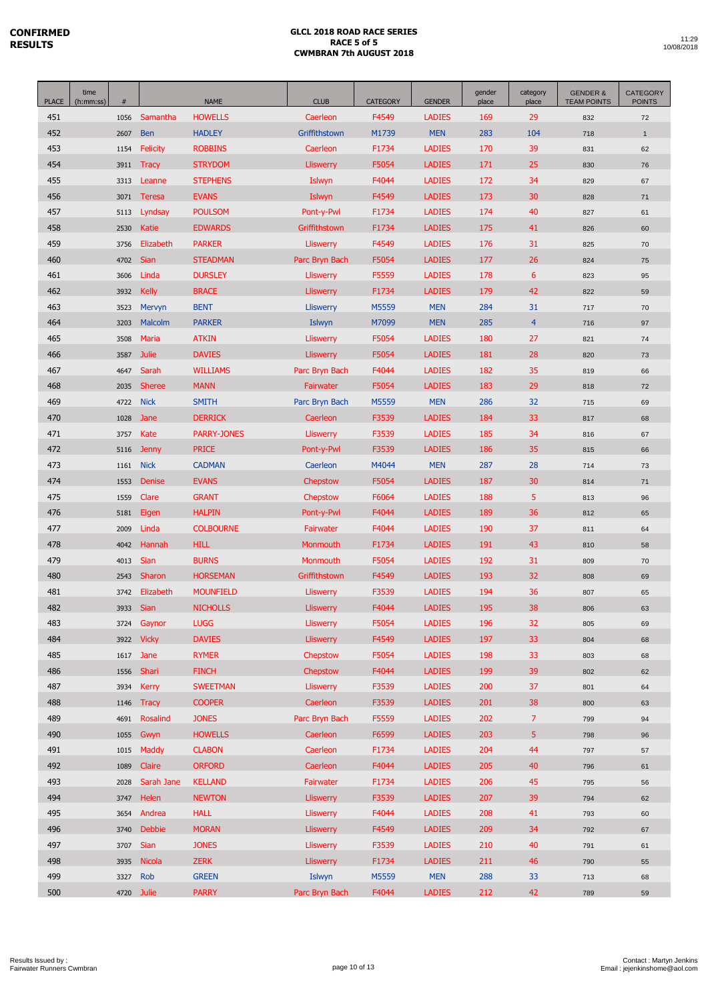| <b>PLACE</b> | time<br>(h:mm:ss) | $\#$         |                 | <b>NAME</b>                     | <b>CLUB</b>           | <b>CATEGORY</b> | <b>GENDER</b>                  | gender<br>place | category<br>place | <b>GENDER &amp;</b><br><b>TEAM POINTS</b> | <b>CATEGORY</b><br><b>POINTS</b> |
|--------------|-------------------|--------------|-----------------|---------------------------------|-----------------------|-----------------|--------------------------------|-----------------|-------------------|-------------------------------------------|----------------------------------|
| 451          |                   | 1056         | Samantha        | <b>HOWELLS</b>                  | Caerleon              | F4549           | <b>LADIES</b>                  | 169             | 29                | 832                                       | 72                               |
| 452          |                   | 2607         | <b>Ben</b>      | <b>HADLEY</b>                   | Griffithstown         | M1739           | <b>MEN</b>                     | 283             | 104               | 718                                       | $\mathbf{1}$                     |
| 453          |                   | 1154         | <b>Felicity</b> | <b>ROBBINS</b>                  | Caerleon              | F1734           | <b>LADIES</b>                  | 170             | 39                | 831                                       | 62                               |
| 454          |                   | 3911         | <b>Tracy</b>    | <b>STRYDOM</b>                  | <b>Lliswerry</b>      | F5054           | <b>LADIES</b>                  | 171             | 25                | 830                                       | 76                               |
| 455          |                   | 3313         | Leanne          | <b>STEPHENS</b>                 | Islwyn                | F4044           | <b>LADIES</b>                  | 172             | 34                | 829                                       | 67                               |
| 456          |                   | 3071         | Teresa          | <b>EVANS</b>                    | Islwyn                | F4549           | <b>LADIES</b>                  | 173             | 30                | 828                                       | 71                               |
| 457          |                   | 5113         | Lyndsay         | <b>POULSOM</b>                  | Pont-y-Pwl            | F1734           | <b>LADIES</b>                  | 174             | 40                | 827                                       | 61                               |
| 458          |                   | 2530         | Katie           | <b>EDWARDS</b>                  | Griffithstown         | F1734           | <b>LADIES</b>                  | 175             | 41                | 826                                       | 60                               |
| 459          |                   | 3756         | Elizabeth       | <b>PARKER</b>                   | <b>Lliswerry</b>      | F4549           | <b>LADIES</b>                  | 176             | 31                | 825                                       | 70                               |
| 460          |                   | 4702         | Sian            | <b>STEADMAN</b>                 | Parc Bryn Bach        | F5054           | <b>LADIES</b>                  | 177             | 26                | 824                                       | 75                               |
| 461          |                   | 3606         | Linda           | <b>DURSLEY</b>                  | <b>Lliswerry</b>      | F5559           | <b>LADIES</b>                  | 178             | 6                 | 823                                       | 95                               |
| 462          |                   | 3932         | <b>Kelly</b>    | <b>BRACE</b>                    | Lliswerry             | F1734           | <b>LADIES</b>                  | 179             | 42                | 822                                       | 59                               |
| 463          |                   | 3523         | Mervyn          | <b>BENT</b>                     | <b>Lliswerry</b>      | M5559           | <b>MEN</b>                     | 284             | 31                | 717                                       | 70                               |
| 464          |                   | 3203         | Malcolm         | <b>PARKER</b>                   | Islwyn                | M7099           | <b>MEN</b>                     | 285             | $\overline{4}$    | 716                                       | 97                               |
| 465          |                   | 3508         | <b>Maria</b>    | <b>ATKIN</b>                    | <b>Lliswerry</b>      | F5054           | <b>LADIES</b>                  | 180             | 27                | 821                                       | 74                               |
| 466          |                   | 3587         | <b>Julie</b>    | <b>DAVIES</b>                   | <b>Lliswerry</b>      | F5054           | <b>LADIES</b>                  | 181             | 28                | 820                                       | 73                               |
| 467          |                   | 4647         | Sarah           | <b>WILLIAMS</b>                 | Parc Bryn Bach        | F4044           | <b>LADIES</b>                  | 182             | 35                | 819                                       | 66                               |
| 468          |                   | 2035         | <b>Sheree</b>   | <b>MANN</b>                     | Fairwater             | F5054           | <b>LADIES</b>                  | 183             | 29                | 818                                       | 72                               |
| 469          |                   | 4722         | <b>Nick</b>     | <b>SMITH</b>                    | Parc Bryn Bach        | M5559           | <b>MEN</b>                     | 286             | 32                | 715                                       | 69                               |
| 470          |                   | 1028         | Jane            | <b>DERRICK</b>                  | Caerleon              | F3539           | <b>LADIES</b>                  | 184             | 33                | 817                                       | 68                               |
| 471          |                   | 3757         | Kate            | <b>PARRY-JONES</b>              | <b>Lliswerry</b>      | F3539           | <b>LADIES</b>                  | 185             | 34                | 816                                       | 67                               |
| 472          |                   | 5116         | <b>Jenny</b>    | <b>PRICE</b>                    | Pont-y-Pwl            | F3539           | <b>LADIES</b>                  | 186             | 35                | 815                                       | 66                               |
| 473          |                   | 1161         | <b>Nick</b>     | <b>CADMAN</b>                   | Caerleon              | M4044           | <b>MEN</b>                     | 287             | 28                | 714                                       | 73                               |
| 474          |                   | 1553         | Denise          | <b>EVANS</b>                    | Chepstow              | F5054           | <b>LADIES</b>                  | 187             | 30                | 814                                       | 71                               |
| 475          |                   | 1559         | Clare           | <b>GRANT</b>                    | Chepstow              | F6064           | <b>LADIES</b>                  | 188             | 5                 | 813                                       | 96                               |
| 476          |                   | 5181         | Eigen           | <b>HALPIN</b>                   | Pont-y-Pwl            | F4044           | <b>LADIES</b>                  | 189             | 36                | 812                                       | 65                               |
| 477<br>478   |                   | 2009<br>4042 | Linda<br>Hannah | <b>COLBOURNE</b><br><b>HILL</b> | Fairwater<br>Monmouth | F4044           | <b>LADIES</b><br><b>LADIES</b> | 190<br>191      | 37<br>43          | 811                                       | 64                               |
| 479          |                   | 4013         | Sian            | <b>BURNS</b>                    | <b>Monmouth</b>       | F1734<br>F5054  | <b>LADIES</b>                  | 192             | 31                | 810<br>809                                | 58<br>70                         |
| 480          |                   | 2543         | Sharon          | <b>HORSEMAN</b>                 | Griffithstown         | F4549           | <b>LADIES</b>                  | 193             | 32                | 808                                       | 69                               |
| 481          |                   | 3742         | Elizabeth       | <b>MOUNFIELD</b>                | <b>Lliswerry</b>      | F3539           | <b>LADIES</b>                  | 194             | 36                | 807                                       | 65                               |
| 482          |                   | 3933         | Sian            | <b>NICHOLLS</b>                 | <b>Lliswerry</b>      | F4044           | <b>LADIES</b>                  | 195             | 38                | 806                                       | 63                               |
| 483          |                   | 3724         | Gaynor          | <b>LUGG</b>                     | <b>Lliswerry</b>      | F5054           | <b>LADIES</b>                  | 196             | 32                | 805                                       | 69                               |
| 484          |                   | 3922         | <b>Vicky</b>    | <b>DAVIES</b>                   | <b>Lliswerry</b>      | F4549           | <b>LADIES</b>                  | 197             | 33                | 804                                       | 68                               |
| 485          |                   | 1617         | Jane            | <b>RYMER</b>                    | Chepstow              | F5054           | <b>LADIES</b>                  | 198             | 33                | 803                                       | 68                               |
| 486          |                   | 1556         | Shari           | <b>FINCH</b>                    | Chepstow              | F4044           | <b>LADIES</b>                  | 199             | 39                | 802                                       | 62                               |
| 487          |                   | 3934         | <b>Kerry</b>    | <b>SWEETMAN</b>                 | <b>Lliswerry</b>      | F3539           | <b>LADIES</b>                  | 200             | 37                | 801                                       | 64                               |
| 488          |                   | 1146         | <b>Tracy</b>    | <b>COOPER</b>                   | Caerleon              | F3539           | <b>LADIES</b>                  | 201             | 38                | 800                                       | 63                               |
| 489          |                   | 4691         | Rosalind        | <b>JONES</b>                    | Parc Bryn Bach        | F5559           | <b>LADIES</b>                  | 202             | $\overline{7}$    | 799                                       | 94                               |
| 490          |                   | 1055         | Gwyn            | <b>HOWELLS</b>                  | Caerleon              | F6599           | <b>LADIES</b>                  | 203             | 5                 | 798                                       | 96                               |
| 491          |                   | 1015         | Maddy           | <b>CLABON</b>                   | Caerleon              | F1734           | <b>LADIES</b>                  | 204             | 44                | 797                                       | 57                               |
| 492          |                   | 1089         | Claire          | <b>ORFORD</b>                   | Caerleon              | F4044           | <b>LADIES</b>                  | 205             | 40                | 796                                       | 61                               |
| 493          |                   | 2028         | Sarah Jane      | <b>KELLAND</b>                  | Fairwater             | F1734           | <b>LADIES</b>                  | 206             | 45                | 795                                       | 56                               |
| 494          |                   | 3747         | Helen           | <b>NEWTON</b>                   | <b>Lliswerry</b>      | F3539           | <b>LADIES</b>                  | 207             | 39                | 794                                       | 62                               |
| 495          |                   | 3654         | Andrea          | <b>HALL</b>                     | <b>Lliswerry</b>      | F4044           | <b>LADIES</b>                  | 208             | 41                | 793                                       | 60                               |
| 496          |                   | 3740         | <b>Debbie</b>   | <b>MORAN</b>                    | <b>Lliswerry</b>      | F4549           | <b>LADIES</b>                  | 209             | 34                | 792                                       | 67                               |
| 497          |                   | 3707         | Sian            | <b>JONES</b>                    | <b>Lliswerry</b>      | F3539           | <b>LADIES</b>                  | 210             | 40                | 791                                       | 61                               |
| 498          |                   | 3935         | <b>Nicola</b>   | <b>ZERK</b>                     | <b>Lliswerry</b>      | F1734           | <b>LADIES</b>                  | 211             | 46                | 790                                       | 55                               |
| 499          |                   | 3327         | Rob             | <b>GREEN</b>                    | Islwyn                | M5559           | <b>MEN</b>                     | 288             | 33                | 713                                       | 68                               |
| 500          |                   |              | 4720 Julie      | <b>PARRY</b>                    | Parc Bryn Bach        | F4044           | <b>LADIES</b>                  | 212             | 42                | 789                                       | 59                               |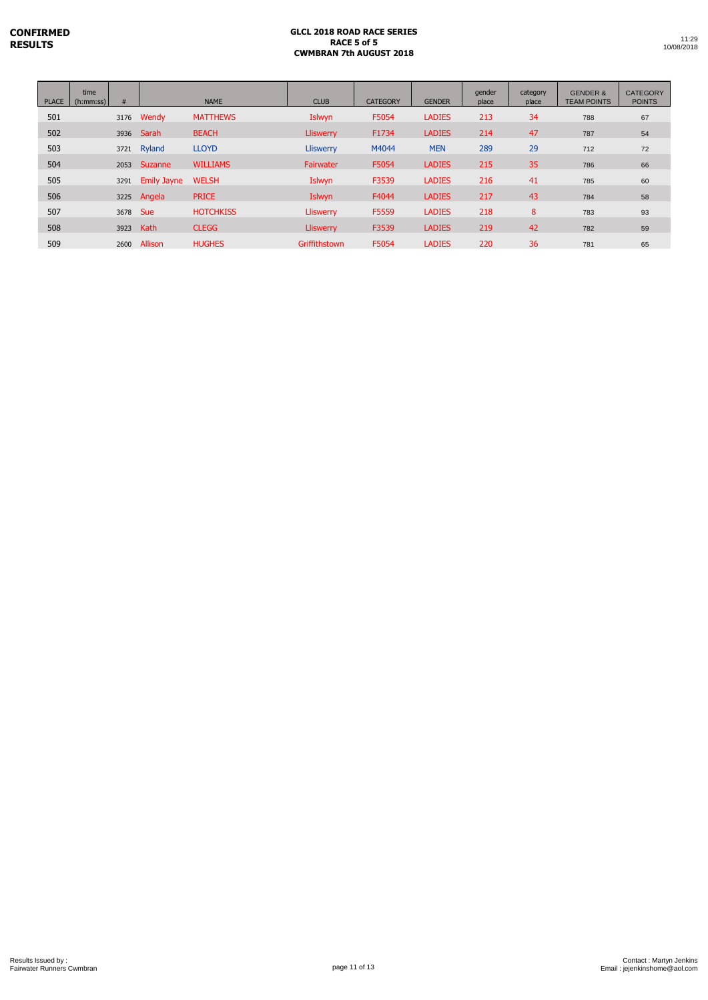L

| <b>PLACE</b> | time<br>(h:mm:ss) | #        |                    | <b>NAME</b>      | <b>CLUB</b>      | <b>CATEGORY</b> | <b>GENDER</b> | gender<br>place | category<br>place | <b>GENDER &amp;</b><br><b>TEAM POINTS</b> | <b>CATEGORY</b><br><b>POINTS</b> |
|--------------|-------------------|----------|--------------------|------------------|------------------|-----------------|---------------|-----------------|-------------------|-------------------------------------------|----------------------------------|
| 501          |                   |          | 3176 Wendy         | <b>MATTHEWS</b>  | Islwyn           | F5054           | <b>LADIES</b> | 213             | 34                | 788                                       | 67                               |
| 502          |                   |          | 3936 Sarah         | <b>BEACH</b>     | Lliswerry        | F1734           | <b>LADIES</b> | 214             | 47                | 787                                       | 54                               |
| 503          |                   | 3721     | Ryland             | <b>LLOYD</b>     | <b>Lliswerry</b> | M4044           | <b>MEN</b>    | 289             | 29                | 712                                       | 72                               |
| 504          |                   |          | 2053 Suzanne       | <b>WILLIAMS</b>  | <b>Fairwater</b> | F5054           | <b>LADIES</b> | 215             | 35                | 786                                       | 66                               |
| 505          |                   | 3291     | <b>Emily Jayne</b> | <b>WELSH</b>     | Islwyn           | F3539           | <b>LADIES</b> | 216             | 41                | 785                                       | 60                               |
| 506          |                   |          | 3225 Angela        | <b>PRICE</b>     | Islwyn           | F4044           | <b>LADIES</b> | 217             | 43                | 784                                       | 58                               |
| 507          |                   | 3678 Sue |                    | <b>HOTCHKISS</b> | <b>Lliswerry</b> | F5559           | <b>LADIES</b> | 218             | 8                 | 783                                       | 93                               |
| 508          |                   | 3923     | Kath               | <b>CLEGG</b>     | <b>Lliswerry</b> | F3539           | <b>LADIES</b> | 219             | 42                | 782                                       | 59                               |
| 509          |                   | 2600     | Allison            | <b>HUGHES</b>    | Griffithstown    | F5054           | <b>LADIES</b> | 220             | 36                | 781                                       | 65                               |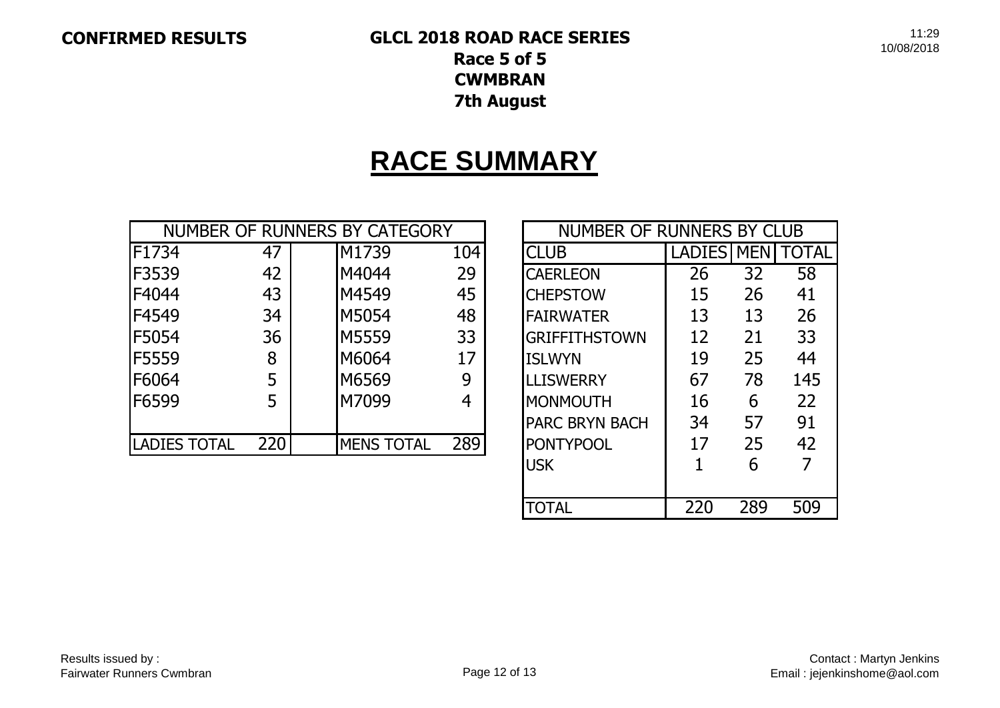## **CONFIRMED RESULTS GLCL 2018 ROAD RACE SERIES Race 5 of 5 CWMBRAN**

**7th August**

# **RACE SUMMARY**

|                     |     | NUMBER OF RUNNERS BY CATEGORY |     | NUMBER OF RUNNERS BY CLUB |               |            |       |
|---------------------|-----|-------------------------------|-----|---------------------------|---------------|------------|-------|
| F1734               | 47  | M1739                         | 104 | <b>CLUB</b>               | <b>LADIES</b> | <b>MEN</b> | TOTAL |
| F3539               | 42  | M4044                         | 29  | <b>CAERLEON</b>           | 26            | 32         | 58    |
| F4044               | 43  | M4549                         | 45  | <b>CHEPSTOW</b>           | 15            | 26         | 41    |
| F4549               | 34  | M5054                         | 48  | <b>FAIRWATER</b>          | 13            | 13         | 26    |
| <b>F5054</b>        | 36  | M5559                         | 33  | <b>GRIFFITHSTOWN</b>      | 12            | 21         | 33    |
| <b>F5559</b>        | 8   | M6064                         | 17  | <b>ISLWYN</b>             | 19            | 25         | 44    |
| F6064               | 5   | M6569                         | 9   | <b>LLISWERRY</b>          | 67            | 78         | 145   |
| F6599               |     | M7099                         | 4   | <b>IMONMOUTH</b>          | 16            | 6          | 22    |
|                     |     |                               |     | <b>IPARC BRYN BACH</b>    | 34            | 57         | 91    |
| <b>LADIES TOTAL</b> | 220 | <b>MENS TOTAL</b>             | 289 | <b>PONTYPOOL</b>          | 17            | 25         | 42    |

| NUMBER OF RUNNERS BY CLUB          |                   |     |       |  |  |  |  |  |  |
|------------------------------------|-------------------|-----|-------|--|--|--|--|--|--|
| <b>CLUB</b>                        | <b>LADIES MEN</b> |     | TOTAL |  |  |  |  |  |  |
| <b>CAERLEON</b>                    | 26                | 32  | 58    |  |  |  |  |  |  |
| <b>CHEPSTOW</b>                    | 15                | 26  | 41    |  |  |  |  |  |  |
| <b>FAIRWATER</b>                   | 13                | 13  | 26    |  |  |  |  |  |  |
| <b>GRIFFITHSTOWN</b>               | 12                | 21  | 33    |  |  |  |  |  |  |
| <b>ISLWYN</b>                      | 19                | 25  | 44    |  |  |  |  |  |  |
| <b>LLISWERRY</b>                   | 67                | 78  | 145   |  |  |  |  |  |  |
| <b>MONMOUTH</b>                    | 16                | 6   | 22    |  |  |  |  |  |  |
| <b>PARC BRYN BACH</b>              | 34                | 57  | 91    |  |  |  |  |  |  |
| <b>PONTYPOOL</b>                   | 17                | 25  | 42    |  |  |  |  |  |  |
| <b>USK</b>                         | 1                 | 6   |       |  |  |  |  |  |  |
|                                    |                   |     |       |  |  |  |  |  |  |
| $\lfloor$ () $\lfloor$ A $\rfloor$ | 220               | 289 | 509   |  |  |  |  |  |  |